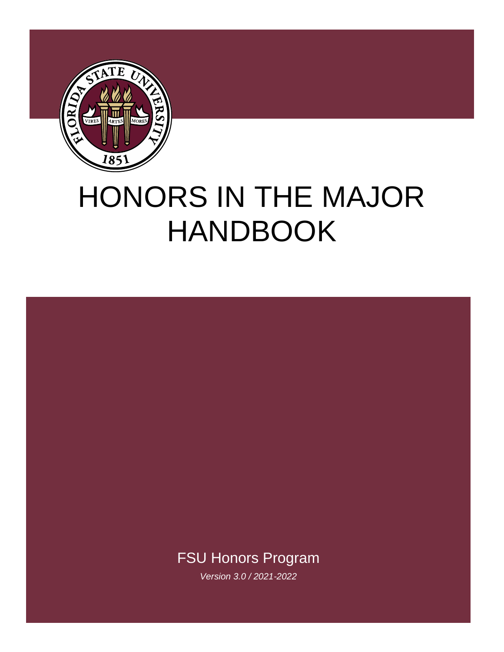

# HONORS IN THE MAJOR HANDBOOK

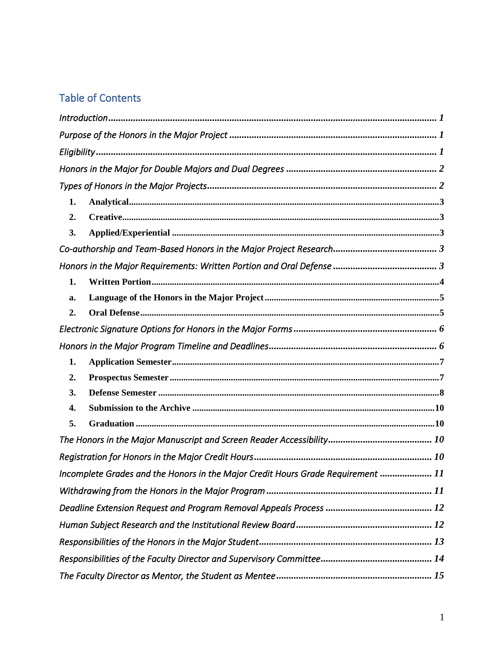# **Table of Contents**

|    | Introduction 1                                                                   |
|----|----------------------------------------------------------------------------------|
|    |                                                                                  |
|    |                                                                                  |
|    |                                                                                  |
|    |                                                                                  |
| 1. |                                                                                  |
| 2. |                                                                                  |
| 3. |                                                                                  |
|    |                                                                                  |
|    |                                                                                  |
| 1. |                                                                                  |
| a. |                                                                                  |
| 2. |                                                                                  |
|    |                                                                                  |
|    |                                                                                  |
| 1. |                                                                                  |
| 2. |                                                                                  |
| 3. |                                                                                  |
| 4. |                                                                                  |
| 5. |                                                                                  |
|    |                                                                                  |
|    |                                                                                  |
|    | Incomplete Grades and the Honors in the Major Credit Hours Grade Requirement  11 |
|    |                                                                                  |
|    |                                                                                  |
|    |                                                                                  |
|    |                                                                                  |
|    |                                                                                  |
|    |                                                                                  |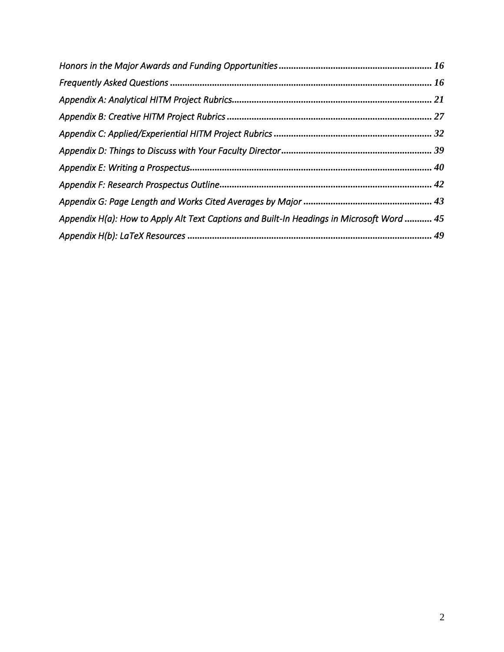| Appendix H(a): How to Apply Alt Text Captions and Built-In Headings in Microsoft Word  45 |  |
|-------------------------------------------------------------------------------------------|--|
|                                                                                           |  |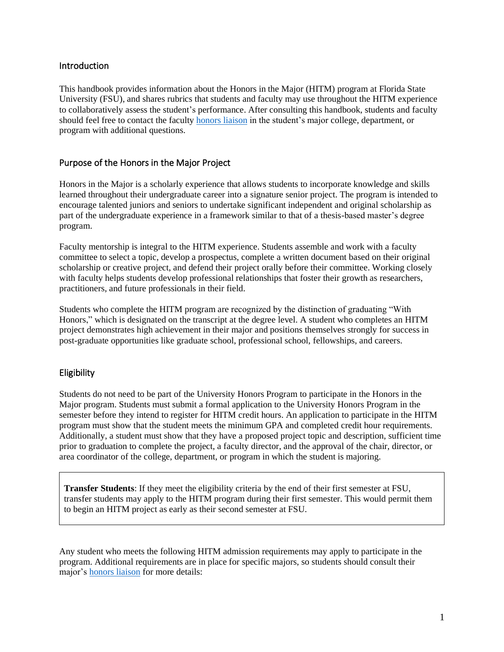#### <span id="page-3-0"></span>**Introduction**

This handbook provides information about the Honors in the Major (HITM) program at Florida State University (FSU), and shares rubrics that students and faculty may use throughout the HITM experience to collaboratively assess the student's performance. After consulting this handbook, students and faculty should feel free to contact the faculty [honors](https://honors.fsu.edu/honors-major/faculty-and-staff/honors-liaisons) liaison in the student's major college, department, or program with additional questions.

#### <span id="page-3-1"></span>Purpose of the Honors in the Major Project

Honors in the Major is a scholarly experience that allows students to incorporate knowledge and skills learned throughout their undergraduate career into a signature senior project. The program is intended to encourage talented juniors and seniors to undertake significant independent and original scholarship as part of the undergraduate experience in a framework similar to that of a thesis-based master's degree program.

Faculty mentorship is integral to the HITM experience. Students assemble and work with a faculty committee to select a topic, develop a prospectus, complete a written document based on their original scholarship or creative project, and defend their project orally before their committee. Working closely with faculty helps students develop professional relationships that foster their growth as researchers, practitioners, and future professionals in their field.

Students who complete the HITM program are recognized by the distinction of graduating "With Honors," which is designated on the transcript at the degree level. A student who completes an HITM project demonstrates high achievement in their major and positions themselves strongly for success in post-graduate opportunities like graduate school, professional school, fellowships, and careers.

#### <span id="page-3-2"></span>**Eligibility**

Students do not need to be part of the University Honors Program to participate in the Honors in the Major program. Students must submit a formal application to the University Honors Program in the semester before they intend to register for HITM credit hours. An application to participate in the HITM program must show that the student meets the minimum GPA and completed credit hour requirements. Additionally, a student must show that they have a proposed project topic and description, sufficient time prior to graduation to complete the project, a faculty director, and the approval of the chair, director, or area coordinator of the college, department, or program in which the student is majoring.

**Transfer Students**: If they meet the eligibility criteria by the end of their first semester at FSU, transfer students may apply to the HITM program during their first semester. This would permit them to begin an HITM project as early as their second semester at FSU.

Any student who meets the following HITM admission requirements may apply to participate in the program. Additional requirements are in place for specific majors, so students should consult their major's [honors](https://honors.fsu.edu/honors-major/faculty-and-staff/honors-liaisons) liaison for more details: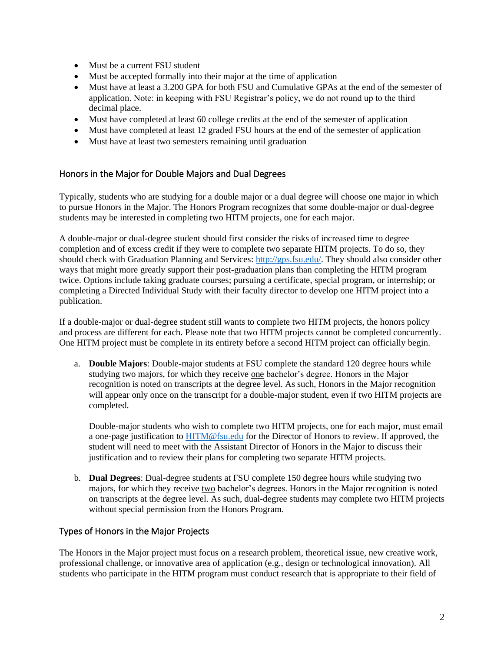- Must be a current FSU student
- Must be accepted formally into their major at the time of application
- Must have at least a 3.200 GPA for both FSU and Cumulative GPAs at the end of the semester of application. Note: in keeping with FSU Registrar's policy, we do not round up to the third decimal place.
- Must have completed at least 60 college credits at the end of the semester of application
- Must have completed at least 12 graded FSU hours at the end of the semester of application
- Must have at least two semesters remaining until graduation

### <span id="page-4-0"></span>Honors in the Major for Double Majors and Dual Degrees

Typically, students who are studying for a double major or a dual degree will choose one major in which to pursue Honors in the Major. The Honors Program recognizes that some double-major or dual-degree students may be interested in completing two HITM projects, one for each major.

A double-major or dual-degree student should first consider the risks of increased time to degree completion and of excess credit if they were to complete two separate HITM projects. To do so, they should check with Graduation Planning and Services[: http://gps.fsu.edu/.](http://gps.fsu.edu/) They should also consider other ways that might more greatly support their post-graduation plans than completing the HITM program twice. Options include taking graduate courses; pursuing a certificate, special program, or internship; or completing a Directed Individual Study with their faculty director to develop one HITM project into a publication.

If a double-major or dual-degree student still wants to complete two HITM projects, the honors policy and process are different for each. Please note that two HITM projects cannot be completed concurrently. One HITM project must be complete in its entirety before a second HITM project can officially begin.

a. **Double Majors**: Double-major students at FSU complete the standard 120 degree hours while studying two majors, for which they receive one bachelor's degree. Honors in the Major recognition is noted on transcripts at the degree level. As such, Honors in the Major recognition will appear only once on the transcript for a double-major student, even if two HITM projects are completed.

Double-major students who wish to complete two HITM projects, one for each major, must email a one-page justification to [HITM@fsu.edu](mailto:HITM@fsu.edu) for the Director of Honors to review. If approved, the student will need to meet with the Assistant Director of Honors in the Major to discuss their justification and to review their plans for completing two separate HITM projects.

b. **Dual Degrees**: Dual-degree students at FSU complete 150 degree hours while studying two majors, for which they receive two bachelor's degrees. Honors in the Major recognition is noted on transcripts at the degree level. As such, dual-degree students may complete two HITM projects without special permission from the Honors Program.

### <span id="page-4-1"></span>Types of Honors in the Major Projects

The Honors in the Major project must focus on a research problem, theoretical issue, new creative work, professional challenge, or innovative area of application (e.g., design or technological innovation). All students who participate in the HITM program must conduct research that is appropriate to their field of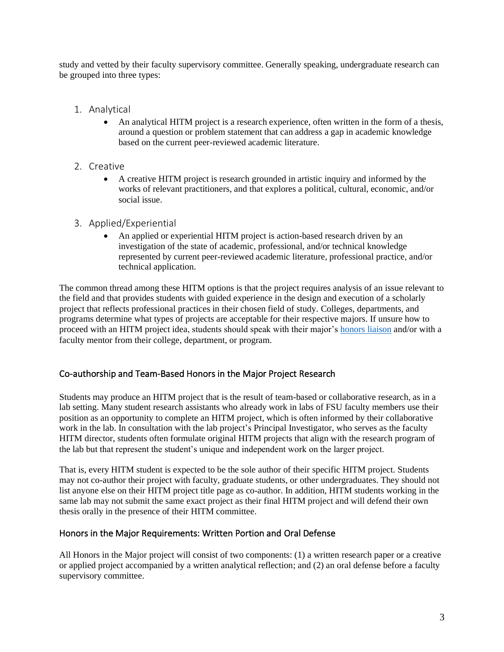study and vetted by their faculty supervisory committee. Generally speaking, undergraduate research can be grouped into three types:

- <span id="page-5-0"></span>1. Analytical
	- An analytical HITM project is a research experience, often written in the form of a thesis, around a question or problem statement that can address a gap in academic knowledge based on the current peer-reviewed academic literature.
- <span id="page-5-1"></span>2. Creative
	- A creative HITM project is research grounded in artistic inquiry and informed by the works of relevant practitioners, and that explores a political, cultural, economic, and/or social issue.
- <span id="page-5-2"></span>3. Applied/Experiential
	- An applied or experiential HITM project is action-based research driven by an investigation of the state of academic, professional, and/or technical knowledge represented by current peer-reviewed academic literature, professional practice, and/or technical application.

The common thread among these HITM options is that the project requires analysis of an issue relevant to the field and that provides students with guided experience in the design and execution of a scholarly project that reflects professional practices in their chosen field of study. Colleges, departments, and programs determine what types of projects are acceptable for their respective majors. If unsure how to proceed with an HITM project idea, students should speak with their major's [honors](https://honors.fsu.edu/honors-major/faculty-and-staff/honors-liaisons) liaison and/or with a faculty mentor from their college, department, or program.

### <span id="page-5-3"></span>Co-authorship and Team-Based Honors in the Major Project Research

Students may produce an HITM project that is the result of team-based or collaborative research, as in a lab setting. Many student research assistants who already work in labs of FSU faculty members use their position as an opportunity to complete an HITM project, which is often informed by their collaborative work in the lab. In consultation with the lab project's Principal Investigator, who serves as the faculty HITM director, students often formulate original HITM projects that align with the research program of the lab but that represent the student's unique and independent work on the larger project.

That is, every HITM student is expected to be the sole author of their specific HITM project. Students may not co-author their project with faculty, graduate students, or other undergraduates. They should not list anyone else on their HITM project title page as co-author. In addition, HITM students working in the same lab may not submit the same exact project as their final HITM project and will defend their own thesis orally in the presence of their HITM committee.

#### <span id="page-5-4"></span>Honors in the Major Requirements: Written Portion and Oral Defense

All Honors in the Major project will consist of two components: (1) a written research paper or a creative or applied project accompanied by a written analytical reflection; and (2) an oral defense before a faculty supervisory committee.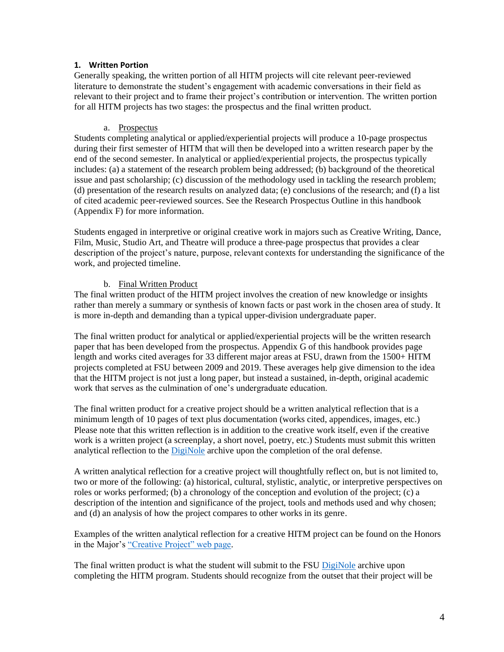#### <span id="page-6-0"></span>**1. Written Portion**

Generally speaking, the written portion of all HITM projects will cite relevant peer-reviewed literature to demonstrate the student's engagement with academic conversations in their field as relevant to their project and to frame their project's contribution or intervention. The written portion for all HITM projects has two stages: the prospectus and the final written product.

#### a. Prospectus

Students completing analytical or applied/experiential projects will produce a 10-page prospectus during their first semester of HITM that will then be developed into a written research paper by the end of the second semester. In analytical or applied/experiential projects, the prospectus typically includes: (a) a statement of the research problem being addressed; (b) background of the theoretical issue and past scholarship; (c) discussion of the methodology used in tackling the research problem; (d) presentation of the research results on analyzed data; (e) conclusions of the research; and (f) a list of cited academic peer-reviewed sources. See the Research Prospectus Outline in this handbook (Appendix F) for more information.

Students engaged in interpretive or original creative work in majors such as Creative Writing, Dance, Film, Music, Studio Art, and Theatre will produce a three-page prospectus that provides a clear description of the project's nature, purpose, relevant contexts for understanding the significance of the work, and projected timeline.

#### b. Final Written Product

The final written product of the HITM project involves the creation of new knowledge or insights rather than merely a summary or synthesis of known facts or past work in the chosen area of study. It is more in-depth and demanding than a typical upper-division undergraduate paper.

The final written product for analytical or applied/experiential projects will be the written research paper that has been developed from the prospectus. Appendix G of this handbook provides page length and works cited averages for 33 different major areas at FSU, drawn from the 1500+ HITM projects completed at FSU between 2009 and 2019. These averages help give dimension to the idea that the HITM project is not just a long paper, but instead a sustained, in-depth, original academic work that serves as the culmination of one's undergraduate education.

The final written product for a creative project should be a written analytical reflection that is a minimum length of 10 pages of text plus documentation (works cited, appendices, images, etc.) Please note that this written reflection is in addition to the creative work itself, even if the creative work is a written project (a screenplay, a short novel, poetry, etc.) Students must submit this written analytical reflection to the [DigiNole](http://diginole.lib.fsu.edu/) archive upon the completion of the oral defense.

A written analytical reflection for a creative project will thoughtfully reflect on, but is not limited to, two or more of the following: (a) historical, cultural, stylistic, analytic, or interpretive perspectives on roles or works performed; (b) a chronology of the conception and evolution of the project; (c) a description of the intention and significance of the project, tools and methods used and why chosen; and (d) an analysis of how the project compares to other works in its genre.

Examples of the written analytical reflection for a creative HITM project can be found on the Honors in the Major's ["Creative Project" web page.](https://honors.fsu.edu/honors-major/creative-project)

The final written product is what the student will submit to the FSU [DigiNole](http://diginole.lib.fsu.edu/) archive upon completing the HITM program. Students should recognize from the outset that their project will be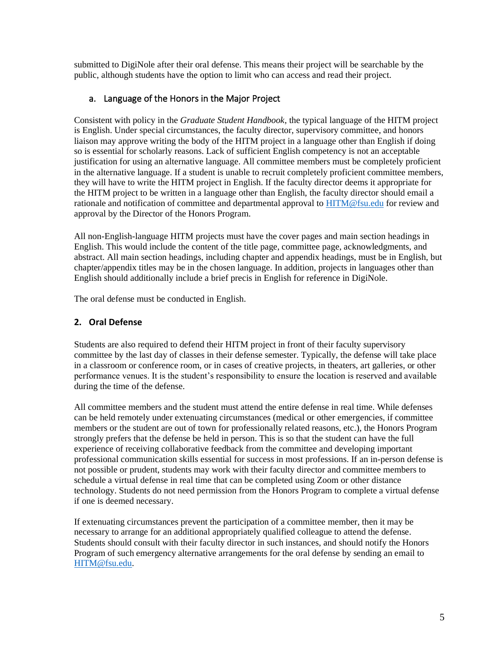submitted to DigiNole after their oral defense. This means their project will be searchable by the public, although students have the option to limit who can access and read their project.

### a. Language of the Honors in the Major Project

<span id="page-7-0"></span>Consistent with policy in the *Graduate Student Handbook*, the typical language of the HITM project is English. Under special circumstances, the faculty director, supervisory committee, and honors liaison may approve writing the body of the HITM project in a language other than English if doing so is essential for scholarly reasons. Lack of sufficient English competency is not an acceptable justification for using an alternative language. All committee members must be completely proficient in the alternative language. If a student is unable to recruit completely proficient committee members, they will have to write the HITM project in English. If the faculty director deems it appropriate for the HITM project to be written in a language other than English, the faculty director should email a rationale and notification of committee and departmental approval to **HITM@fsu.edu** for review and approval by the Director of the Honors Program.

All non-English-language HITM projects must have the cover pages and main section headings in English. This would include the content of the title page, committee page, acknowledgments, and abstract. All main section headings, including chapter and appendix headings, must be in English, but chapter/appendix titles may be in the chosen language. In addition, projects in languages other than English should additionally include a brief precis in English for reference in DigiNole.

The oral defense must be conducted in English.

### <span id="page-7-1"></span>**2. Oral Defense**

Students are also required to defend their HITM project in front of their faculty supervisory committee by the last day of classes in their defense semester. Typically, the defense will take place in a classroom or conference room, or in cases of creative projects, in theaters, art galleries, or other performance venues. It is the student's responsibility to ensure the location is reserved and available during the time of the defense.

All committee members and the student must attend the entire defense in real time. While defenses can be held remotely under extenuating circumstances (medical or other emergencies, if committee members or the student are out of town for professionally related reasons, etc.), the Honors Program strongly prefers that the defense be held in person. This is so that the student can have the full experience of receiving collaborative feedback from the committee and developing important professional communication skills essential for success in most professions. If an in-person defense is not possible or prudent, students may work with their faculty director and committee members to schedule a virtual defense in real time that can be completed using Zoom or other distance technology. Students do not need permission from the Honors Program to complete a virtual defense if one is deemed necessary.

If extenuating circumstances prevent the participation of a committee member, then it may be necessary to arrange for an additional appropriately qualified colleague to attend the defense. Students should consult with their faculty director in such instances, and should notify the Honors Program of such emergency alternative arrangements for the oral defense by sending an email to [HITM@fsu.edu.](mailto:HITM@fsu.edu)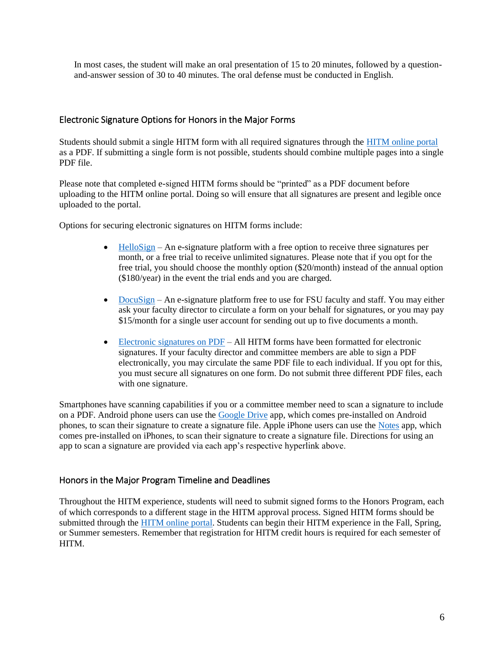In most cases, the student will make an oral presentation of 15 to 20 minutes, followed by a questionand-answer session of 30 to 40 minutes. The oral defense must be conducted in English.

#### <span id="page-8-0"></span>Electronic Signature Options for Honors in the Major Forms

Students should submit a single HITM form with all required signatures through the [HITM online portal](https://honorsinthemajor-fsu-apply.smapply.us/) as a PDF. If submitting a single form is not possible, students should combine multiple pages into a single PDF file.

Please note that completed e-signed HITM forms should be "printed" as a PDF document before uploading to the HITM online portal. Doing so will ensure that all signatures are present and legible once uploaded to the portal.

Options for securing electronic signatures on HITM forms include:

- [HelloSign](https://app.hellosign.com/info/pricing?_ga=2.231421983.1211074572.1595958206-1706847133.1595958206) An e-signature platform with a free option to receive three signatures per month, or a free trial to receive unlimited signatures. Please note that if you opt for the free trial, you should choose the monthly option (\$20/month) instead of the annual option (\$180/year) in the event the trial ends and you are charged.
- [DocuSign](https://www.docusign.com/products-and-pricing) An e-signature platform free to use for FSU faculty and staff. You may either ask your faculty director to circulate a form on your behalf for signatures, or you may pay \$15/month for a single user account for sending out up to five documents a month.
- [Electronic signatures on PDF](https://helpx.adobe.com/reader/using/sign-pdfs.html) All HITM forms have been formatted for electronic signatures. If your faculty director and committee members are able to sign a PDF electronically, you may circulate the same PDF file to each individual. If you opt for this, you must secure all signatures on one form. Do not submit three different PDF files, each with one signature.

Smartphones have scanning capabilities if you or a committee member need to scan a signature to include on a PDF. Android phone users can use the [Google Drive](https://support.google.com/drive/answer/3145835?co=GENIE.Platform%3DAndroid&hl=en) app, which comes pre-installed on Android phones, to scan their signature to create a signature file. Apple iPhone users can use the [Notes](https://support.apple.com/en-us/HT210336) app, which comes pre-installed on iPhones, to scan their signature to create a signature file. Directions for using an app to scan a signature are provided via each app's respective hyperlink above.

#### <span id="page-8-1"></span>Honors in the Major Program Timeline and Deadlines

Throughout the HITM experience, students will need to submit signed forms to the Honors Program, each of which corresponds to a different stage in the HITM approval process. Signed HITM forms should be submitted through the [HITM online portal.](https://honorsinthemajor-fsu-apply.smapply.us/) Students can begin their HITM experience in the Fall, Spring, or Summer semesters. Remember that registration for HITM credit hours is required for each semester of HITM.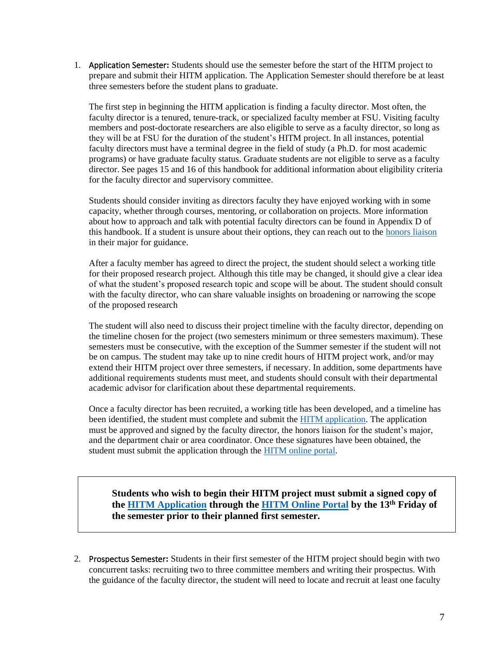<span id="page-9-0"></span>1. Application Semester**:** Students should use the semester before the start of the HITM project to prepare and submit their HITM application. The Application Semester should therefore be at least three semesters before the student plans to graduate.

The first step in beginning the HITM application is finding a faculty director. Most often, the faculty director is a tenured, tenure-track, or specialized faculty member at FSU. Visiting faculty members and post-doctorate researchers are also eligible to serve as a faculty director, so long as they will be at FSU for the duration of the student's HITM project. In all instances, potential faculty directors must have a terminal degree in the field of study (a Ph.D. for most academic programs) or have graduate faculty status. Graduate students are not eligible to serve as a faculty director. See pages 15 and 16 of this handbook for additional information about eligibility criteria for the faculty director and supervisory committee.

Students should consider inviting as directors faculty they have enjoyed working with in some capacity, whether through courses, mentoring, or collaboration on projects. More information about how to approach and talk with potential faculty directors can be found in Appendix D of this handbook. If a student is unsure about their options, they can reach out to the [honors](https://honors.fsu.edu/honors-major/faculty-and-staff/honors-liaisons) liaison in their major for guidance.

After a faculty member has agreed to direct the project, the student should select a working title for their proposed research project. Although this title may be changed, it should give a clear idea of what the student's proposed research topic and scope will be about. The student should consult with the faculty director, who can share valuable insights on broadening or narrowing the scope of the proposed research

The student will also need to discuss their project timeline with the faculty director, depending on the timeline chosen for the project (two semesters minimum or three semesters maximum). These semesters must be consecutive, with the exception of the Summer semester if the student will not be on campus. The student may take up to nine credit hours of HITM project work, and/or may extend their HITM project over three semesters, if necessary. In addition, some departments have additional requirements students must meet, and students should consult with their departmental academic advisor for clarification about these departmental requirements.

Once a faculty director has been recruited, a working title has been developed, and a timeline has been identified, the student must complete and submit the [HITM application.](https://honors.fsu.edu/sites/g/files/upcbnu561/files/HITM%20Forms/HITM%20Application%20-%202020%20Revision.pdf) The application must be approved and signed by the faculty director, the honors liaison for the student's major, and the department chair or area coordinator. Once these signatures have been obtained, the student must submit the application through the [HITM online portal.](https://honorsinthemajor-fsu-apply.smapply.us/)

**Students who wish to begin their HITM project must submit a signed copy of the [HITM Application](https://honors.fsu.edu/sites/g/files/upcbnu561/files/HITM%20Forms/HITM%20Application%20-%202020%20Revision.pdf) through the [HITM Online Portal](https://honorsinthemajor-fsu-apply.smapply.us/) by the 13th Friday of the semester prior to their planned first semester.**

<span id="page-9-1"></span>2. Prospectus Semester**:** Students in their first semester of the HITM project should begin with two concurrent tasks: recruiting two to three committee members and writing their prospectus. With the guidance of the faculty director, the student will need to locate and recruit at least one faculty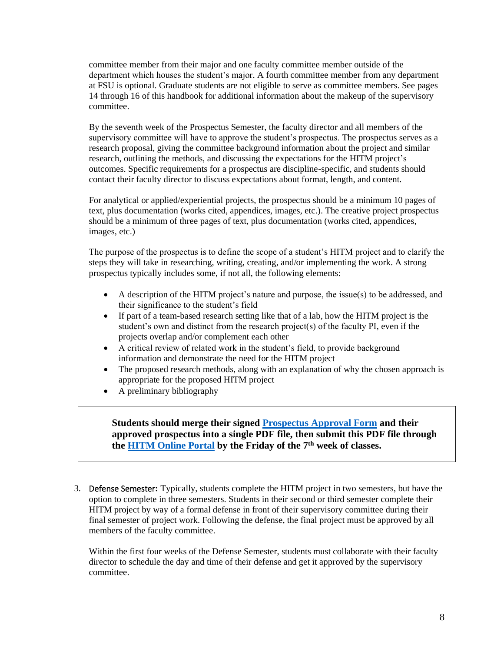committee member from their major and one faculty committee member outside of the department which houses the student's major. A fourth committee member from any department at FSU is optional. Graduate students are not eligible to serve as committee members. See pages 14 through 16 of this handbook for additional information about the makeup of the supervisory committee.

By the seventh week of the Prospectus Semester, the faculty director and all members of the supervisory committee will have to approve the student's prospectus. The prospectus serves as a research proposal, giving the committee background information about the project and similar research, outlining the methods, and discussing the expectations for the HITM project's outcomes. Specific requirements for a prospectus are discipline-specific, and students should contact their faculty director to discuss expectations about format, length, and content.

For analytical or applied/experiential projects, the prospectus should be a minimum 10 pages of text, plus documentation (works cited, appendices, images, etc.). The creative project prospectus should be a minimum of three pages of text, plus documentation (works cited, appendices, images, etc.)

The purpose of the prospectus is to define the scope of a student's HITM project and to clarify the steps they will take in researching, writing, creating, and/or implementing the work. A strong prospectus typically includes some, if not all, the following elements:

- A description of the HITM project's nature and purpose, the issue(s) to be addressed, and their significance to the student's field
- If part of a team-based research setting like that of a lab, how the HITM project is the student's own and distinct from the research project(s) of the faculty PI, even if the projects overlap and/or complement each other
- A critical review of related work in the student's field, to provide background information and demonstrate the need for the HITM project
- The proposed research methods, along with an explanation of why the chosen approach is appropriate for the proposed HITM project
- A preliminary bibliography

**Students should merge their signed [Prospectus Approval Form](https://honors.fsu.edu/sites/g/files/upcbnu561/files/HITM%20Forms/Prospectus%20Approval%20Form%20-%202020%20Revision.pdf) and their approved prospectus into a single PDF file, then submit this PDF file through the [HITM Online Portal](https://honorsinthemajor-fsu-apply.smapply.us/) by the Friday of the 7th week of classes.**

<span id="page-10-0"></span>3. Defense Semester**:** Typically, students complete the HITM project in two semesters, but have the option to complete in three semesters. Students in their second or third semester complete their HITM project by way of a formal defense in front of their supervisory committee during their final semester of project work. Following the defense, the final project must be approved by all members of the faculty committee.

Within the first four weeks of the Defense Semester, students must collaborate with their faculty director to schedule the day and time of their defense and get it approved by the supervisory committee.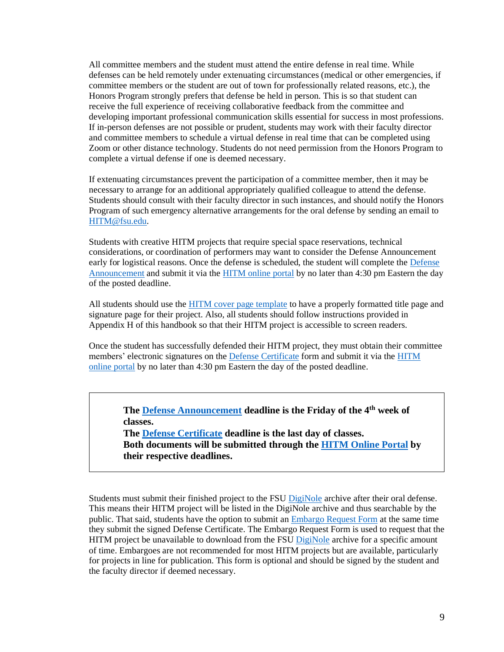All committee members and the student must attend the entire defense in real time. While defenses can be held remotely under extenuating circumstances (medical or other emergencies, if committee members or the student are out of town for professionally related reasons, etc.), the Honors Program strongly prefers that defense be held in person. This is so that student can receive the full experience of receiving collaborative feedback from the committee and developing important professional communication skills essential for success in most professions. If in-person defenses are not possible or prudent, students may work with their faculty director and committee members to schedule a virtual defense in real time that can be completed using Zoom or other distance technology. Students do not need permission from the Honors Program to complete a virtual defense if one is deemed necessary.

If extenuating circumstances prevent the participation of a committee member, then it may be necessary to arrange for an additional appropriately qualified colleague to attend the defense. Students should consult with their faculty director in such instances, and should notify the Honors Program of such emergency alternative arrangements for the oral defense by sending an email to [HITM@fsu.edu.](mailto:HITM@fsu.edu)

Students with creative HITM projects that require special space reservations, technical considerations, or coordination of performers may want to consider the Defense Announcement early for logistical reasons. Once the defense is scheduled, the student will complete the [Defense](https://honors.fsu.edu/sites/g/files/upcbnu561/files/HITM%20Forms/Defense%20Announcement%20Form%20-%202020%20Revision.pdf)  [Announcement](https://honors.fsu.edu/sites/g/files/upcbnu561/files/HITM%20Forms/Defense%20Announcement%20Form%20-%202020%20Revision.pdf) and submit it via the [HITM online portal](https://honorsinthemajor-fsu-apply.smapply.us/) by no later than 4:30 pm Eastern the day of the posted deadline.

All students should use the [HITM cover page template](https://honors.fsu.edu/sites/g/files/upcbnu561/files/HITM%20Forms/HITM%20cover%20page%20template.docx) to have a properly formatted title page and signature page for their project. Also, all students should follow instructions provided in Appendix H of this handbook so that their HITM project is accessible to screen readers.

Once the student has successfully defended their HITM project, they must obtain their committee members' electronic signatures on the [Defense Certificate](https://honors.fsu.edu/sites/g/files/upcbnu561/files/HITM%20Forms/Defense%20Certificate%20Form%20-%202020%20Revision.pdf) form and submit it via the [HITM](https://honorsinthemajor-fsu-apply.smapply.us/)  [online portal](https://honorsinthemajor-fsu-apply.smapply.us/) by no later than 4:30 pm Eastern the day of the posted deadline.

**The [Defense Announcement](https://honors.fsu.edu/sites/g/files/upcbnu561/files/HITM%20Forms/Defense%20Announcement%20Form%20-%202020%20Revision.pdf) deadline is the Friday of the 4th week of classes.**

**The [Defense Certificate](https://honors.fsu.edu/sites/g/files/upcbnu561/files/HITM%20Forms/Defense%20Certificate%20Form%20-%202020%20Revision.pdf) deadline is the last day of classes. Both documents will be submitted through the [HITM Online Portal](https://honorsinthemajor-fsu-apply.smapply.us/) by their respective deadlines.**

Students must submit their finished project to the FSU [DigiNole](http://diginole.lib.fsu.edu/) archive after their oral defense. This means their HITM project will be listed in the DigiNole archive and thus searchable by the public. That said, students have the option to submit a[n Embargo Request Form](https://honors.fsu.edu/sites/g/files/upcbnu561/files/Embargo%20Request%20Fall%202019%20revision.pdf) at the same time they submit the signed Defense Certificate. The Embargo Request Form is used to request that the HITM project be unavailable to download from the FSU [DigiNole](http://diginole.lib.fsu.edu/) archive for a specific amount of time. Embargoes are not recommended for most HITM projects but are available, particularly for projects in line for publication. This form is optional and should be signed by the student and the faculty director if deemed necessary.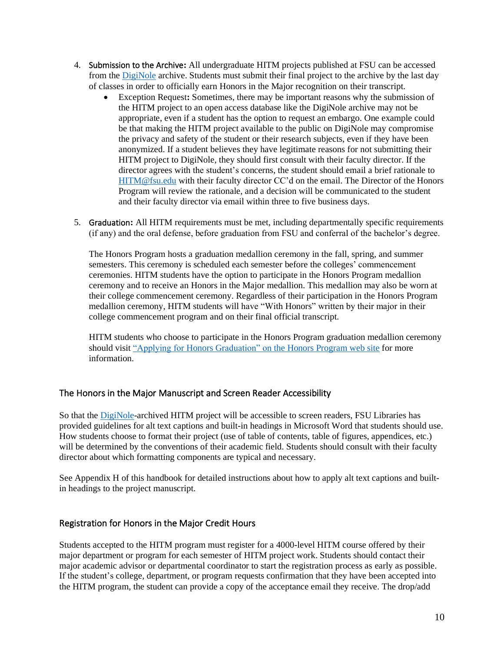- <span id="page-12-0"></span>4. Submission to the Archive**:** All undergraduate HITM projects published at FSU can be accessed from the [DigiNole](http://diginole.lib.fsu.edu/) archive. Students must submit their final project to the archive by the last day of classes in order to officially earn Honors in the Major recognition on their transcript.
	- Exception Request**:** Sometimes, there may be important reasons why the submission of the HITM project to an open access database like the DigiNole archive may not be appropriate, even if a student has the option to request an embargo. One example could be that making the HITM project available to the public on DigiNole may compromise the privacy and safety of the student or their research subjects, even if they have been anonymized. If a student believes they have legitimate reasons for not submitting their HITM project to DigiNole, they should first consult with their faculty director. If the director agrees with the student's concerns, the student should email a brief rationale to [HITM@fsu.edu](mailto:HITM@fsu.edu) with their faculty director CC'd on the email. The Director of the Honors Program will review the rationale, and a decision will be communicated to the student and their faculty director via email within three to five business days.
- <span id="page-12-1"></span>5. Graduation**:** All HITM requirements must be met, including departmentally specific requirements (if any) and the oral defense, before graduation from FSU and conferral of the bachelor's degree.

The Honors Program hosts a graduation medallion ceremony in the fall, spring, and summer semesters. This ceremony is scheduled each semester before the colleges' commencement ceremonies. HITM students have the option to participate in the Honors Program medallion ceremony and to receive an Honors in the Major medallion. This medallion may also be worn at their college commencement ceremony. Regardless of their participation in the Honors Program medallion ceremony, HITM students will have "With Honors" written by their major in their college commencement program and on their final official transcript.

HITM students who choose to participate in the Honors Program graduation medallion ceremony should visit "Applying for Honors [Graduation" on the Honors](https://honors.fsu.edu/student-recognition/honors-graduation/apply-honors-graduation) Program web site for more information.

#### <span id="page-12-2"></span>The Honors in the Major Manuscript and Screen Reader Accessibility

So that the [DigiNole-](http://diginole.lib.fsu.edu/)archived HITM project will be accessible to screen readers, FSU Libraries has provided guidelines for alt text captions and built-in headings in Microsoft Word that students should use. How students choose to format their project (use of table of contents, table of figures, appendices, etc.) will be determined by the conventions of their academic field. Students should consult with their faculty director about which formatting components are typical and necessary.

See Appendix H of this handbook for detailed instructions about how to apply alt text captions and builtin headings to the project manuscript.

#### <span id="page-12-3"></span>Registration for Honors in the Major Credit Hours

Students accepted to the HITM program must register for a 4000-level HITM course offered by their major department or program for each semester of HITM project work. Students should contact their major academic advisor or departmental coordinator to start the registration process as early as possible. If the student's college, department, or program requests confirmation that they have been accepted into the HITM program, the student can provide a copy of the acceptance email they receive. The drop/add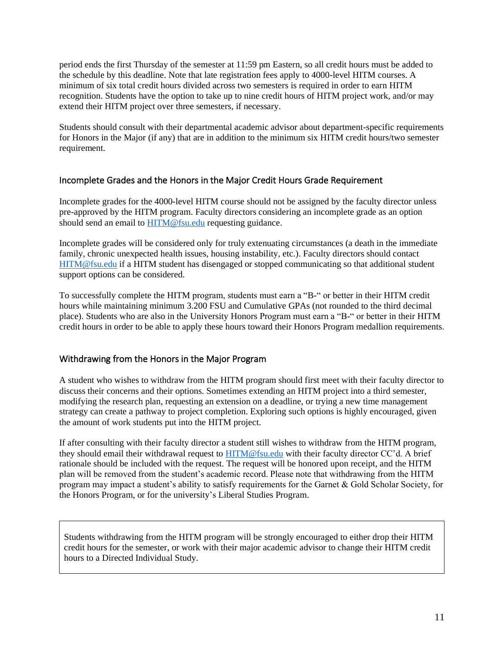period ends the first Thursday of the semester at 11:59 pm Eastern, so all credit hours must be added to the schedule by this deadline. Note that late registration fees apply to 4000-level HITM courses. A minimum of six total credit hours divided across two semesters is required in order to earn HITM recognition. Students have the option to take up to nine credit hours of HITM project work, and/or may extend their HITM project over three semesters, if necessary.

Students should consult with their departmental academic advisor about department-specific requirements for Honors in the Major (if any) that are in addition to the minimum six HITM credit hours/two semester requirement.

#### <span id="page-13-0"></span>Incomplete Grades and the Honors in the Major Credit Hours Grade Requirement

Incomplete grades for the 4000-level HITM course should not be assigned by the faculty director unless pre-approved by the HITM program. Faculty directors considering an incomplete grade as an option should send an email t[o HITM@fsu.edu](mailto:HITM@fsu.edu) requesting guidance.

Incomplete grades will be considered only for truly extenuating circumstances (a death in the immediate family, chronic unexpected health issues, housing instability, etc.). Faculty directors should contact [HITM@fsu.edu](mailto:HITM@fsu.edu) if a HITM student has disengaged or stopped communicating so that additional student support options can be considered.

To successfully complete the HITM program, students must earn a "B-" or better in their HITM credit hours while maintaining minimum 3.200 FSU and Cumulative GPAs (not rounded to the third decimal place). Students who are also in the University Honors Program must earn a "B-" or better in their HITM credit hours in order to be able to apply these hours toward their Honors Program medallion requirements.

### <span id="page-13-1"></span>Withdrawing from the Honors in the Major Program

A student who wishes to withdraw from the HITM program should first meet with their faculty director to discuss their concerns and their options. Sometimes extending an HITM project into a third semester, modifying the research plan, requesting an extension on a deadline, or trying a new time management strategy can create a pathway to project completion. Exploring such options is highly encouraged, given the amount of work students put into the HITM project.

If after consulting with their faculty director a student still wishes to withdraw from the HITM program, they should email their withdrawal request to [HITM@fsu.edu](mailto:HITM@fsu.edu) with their faculty director CC'd. A brief rationale should be included with the request. The request will be honored upon receipt, and the HITM plan will be removed from the student's academic record. Please note that withdrawing from the HITM program may impact a student's ability to satisfy requirements for the Garnet & Gold Scholar Society, for the Honors Program, or for the university's Liberal Studies Program.

Students withdrawing from the HITM program will be strongly encouraged to either drop their HITM credit hours for the semester, or work with their major academic advisor to change their HITM credit hours to a Directed Individual Study.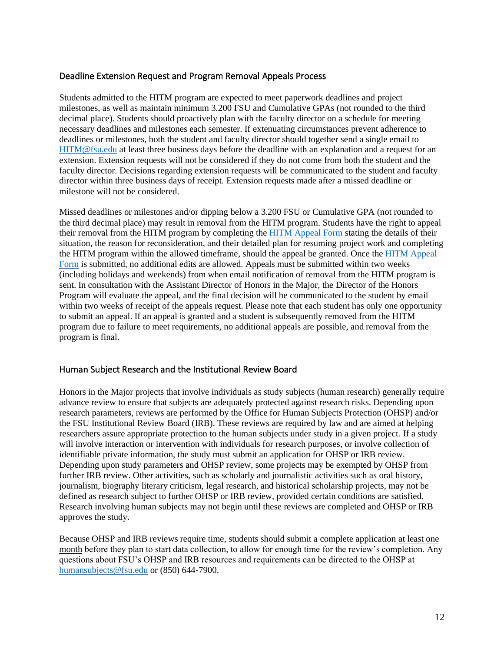#### <span id="page-14-0"></span>Deadline Extension Request and Program Removal Appeals Process

Students admitted to the HITM program are expected to meet paperwork deadlines and project milestones, as well as maintain minimum 3.200 FSU and Cumulative GPAs (not rounded to the third decimal place). Students should proactively plan with the faculty director on a schedule for meeting necessary deadlines and milestones each semester. If extenuating circumstances prevent adherence to deadlines or milestones, both the student and faculty director should together send a single email to [HITM@fsu.edu](mailto:HITM@fsu.edu) at least three business days before the deadline with an explanation and a request for an extension. Extension requests will not be considered if they do not come from both the student and the faculty director. Decisions regarding extension requests will be communicated to the student and faculty director within three business days of receipt. Extension requests made after a missed deadline or milestone will not be considered.

Missed deadlines or milestones and/or dipping below a 3.200 FSU or Cumulative GPA (not rounded to the third decimal place) may result in removal from the HITM program. Students have the right to appeal their removal from the HITM program by completing the [HITM Appeal Form](https://fsu.qualtrics.com/jfe/form/SV_3w8bNCAZS4cwBDv) stating the details of their situation, the reason for reconsideration, and their detailed plan for resuming project work and completing the HITM program within the allowed timeframe, should the appeal be granted. Once the [HITM Appeal](https://fsu.qualtrics.com/jfe/form/SV_3w8bNCAZS4cwBDv)  [Form](https://fsu.qualtrics.com/jfe/form/SV_3w8bNCAZS4cwBDv) is submitted, no additional edits are allowed. Appeals must be submitted within two weeks (including holidays and weekends) from when email notification of removal from the HITM program is sent. In consultation with the Assistant Director of Honors in the Major, the Director of the Honors Program will evaluate the appeal, and the final decision will be communicated to the student by email within two weeks of receipt of the appeals request. Please note that each student has only one opportunity to submit an appeal. If an appeal is granted and a student is subsequently removed from the HITM program due to failure to meet requirements, no additional appeals are possible, and removal from the program is final.

#### <span id="page-14-1"></span>Human Subject Research and the Institutional Review Board

Honors in the Major projects that involve individuals as study subjects (human research) generally require advance review to ensure that subjects are adequately protected against research risks. Depending upon research parameters, reviews are performed by the Office for Human Subjects Protection (OHSP) and/or the FSU Institutional Review Board (IRB). These reviews are required by law and are aimed at helping researchers assure appropriate protection to the human subjects under study in a given project. If a study will involve interaction or intervention with individuals for research purposes, or involve collection of identifiable private information, the study must submit an application for OHSP or IRB review. Depending upon study parameters and OHSP review, some projects may be exempted by OHSP from further IRB review. Other activities, such as scholarly and journalistic activities such as oral history, journalism, biography literary criticism, legal research, and historical scholarship projects, may not be defined as research subject to further OHSP or IRB review, provided certain conditions are satisfied. Research involving human subjects may not begin until these reviews are completed and OHSP or IRB approves the study.

Because OHSP and IRB reviews require time, students should submit a complete application at least one month before they plan to start data collection, to allow for enough time for the review's completion. Any questions about FSU's OHSP and IRB resources and requirements can be directed to the OHSP at [humansubjects@fsu.edu](mailto:humansubjects@fsu.edu) or (850) 644-7900.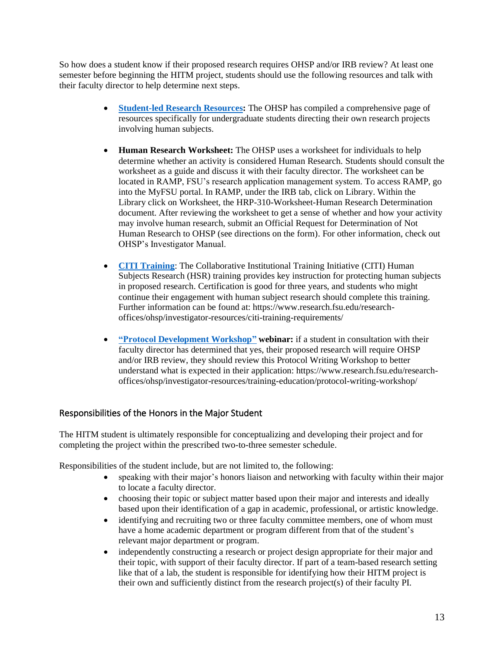So how does a student know if their proposed research requires OHSP and/or IRB review? At least one semester before beginning the HITM project, students should use the following resources and talk with their faculty director to help determine next steps.

- **[Student-led Research Resources:](https://www.research.fsu.edu/research-offices/ohsp/student-led-research/)** The OHSP has compiled a comprehensive page of resources specifically for undergraduate students directing their own research projects involving human subjects.
- **Human Research Worksheet:** The OHSP uses a worksheet for individuals to help determine whether an activity is considered Human Research. Students should consult the worksheet as a guide and discuss it with their faculty director. The worksheet can be located in RAMP, FSU's research application management system. To access RAMP, go into the MyFSU portal. In RAMP, under the IRB tab, click on Library. Within the Library click on Worksheet, the HRP-310-Worksheet-Human Research Determination document. After reviewing the worksheet to get a sense of whether and how your activity may involve human research, submit an Official Request for Determination of Not Human Research to OHSP (see directions on the form). For other information, check out OHSP's Investigator Manual.
- **[CITI Training](https://www.research.fsu.edu/research-offices/ohsp/investigator-resources/citi-training-requirements/)**: The Collaborative Institutional Training Initiative (CITI) Human Subjects Research (HSR) training provides key instruction for protecting human subjects in proposed research. Certification is good for three years, and students who might continue their engagement with human subject research should complete this training. Further information can be found at: https://www.research.fsu.edu/researchoffices/ohsp/investigator-resources/citi-training-requirements/
- **"Protocol [Development Workshop"](https://www.research.fsu.edu/research-offices/ohsp/investigator-resources/training-education/protocol-writing-workshop/) webinar:** if a student in consultation with their faculty director has determined that yes, their proposed research will require OHSP and/or IRB review, they should review this Protocol Writing Workshop to better understand what is expected in their application: https://www.research.fsu.edu/researchoffices/ohsp/investigator-resources/training-education/protocol-writing-workshop/

#### <span id="page-15-0"></span>Responsibilities of the Honors in the Major Student

The HITM student is ultimately responsible for conceptualizing and developing their project and for completing the project within the prescribed two-to-three semester schedule.

Responsibilities of the student include, but are not limited to, the following:

- speaking with their major's honors liaison and networking with faculty within their major to locate a faculty director.
- choosing their topic or subject matter based upon their major and interests and ideally based upon their identification of a gap in academic, professional, or artistic knowledge.
- identifying and recruiting two or three faculty committee members, one of whom must have a home academic department or program different from that of the student's relevant major department or program.
- independently constructing a research or project design appropriate for their major and their topic, with support of their faculty director. If part of a team-based research setting like that of a lab, the student is responsible for identifying how their HITM project is their own and sufficiently distinct from the research project(s) of their faculty PI.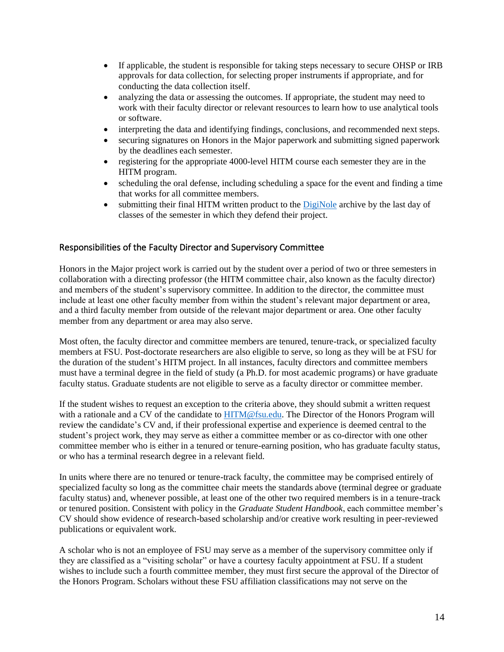- If applicable, the student is responsible for taking steps necessary to secure OHSP or IRB approvals for data collection, for selecting proper instruments if appropriate, and for conducting the data collection itself.
- analyzing the data or assessing the outcomes. If appropriate, the student may need to work with their faculty director or relevant resources to learn how to use analytical tools or software.
- interpreting the data and identifying findings, conclusions, and recommended next steps.
- securing signatures on Honors in the Major paperwork and submitting signed paperwork by the deadlines each semester.
- registering for the appropriate 4000-level HITM course each semester they are in the HITM program.
- scheduling the oral defense, including scheduling a space for the event and finding a time that works for all committee members.
- submitting their final HITM written product to the [DigiNole](http://diginole.lib.fsu.edu/) archive by the last day of classes of the semester in which they defend their project.

### <span id="page-16-0"></span>Responsibilities of the Faculty Director and Supervisory Committee

Honors in the Major project work is carried out by the student over a period of two or three semesters in collaboration with a directing professor (the HITM committee chair, also known as the faculty director) and members of the student's supervisory committee. In addition to the director, the committee must include at least one other faculty member from within the student's relevant major department or area, and a third faculty member from outside of the relevant major department or area. One other faculty member from any department or area may also serve.

Most often, the faculty director and committee members are tenured, tenure-track, or specialized faculty members at FSU. Post-doctorate researchers are also eligible to serve, so long as they will be at FSU for the duration of the student's HITM project. In all instances, faculty directors and committee members must have a terminal degree in the field of study (a Ph.D. for most academic programs) or have graduate faculty status. Graduate students are not eligible to serve as a faculty director or committee member.

If the student wishes to request an exception to the criteria above, they should submit a written request with a rationale and a CV of the candidate to [HITM@fsu.edu.](mailto:HITM@fsu.edu) The Director of the Honors Program will review the candidate's CV and, if their professional expertise and experience is deemed central to the student's project work, they may serve as either a committee member or as co-director with one other committee member who is either in a tenured or tenure-earning position, who has graduate faculty status, or who has a terminal research degree in a relevant field.

In units where there are no tenured or tenure-track faculty, the committee may be comprised entirely of specialized faculty so long as the committee chair meets the standards above (terminal degree or graduate faculty status) and, whenever possible, at least one of the other two required members is in a tenure-track or tenured position. Consistent with policy in the *Graduate Student Handbook*, each committee member's CV should show evidence of research-based scholarship and/or creative work resulting in peer-reviewed publications or equivalent work.

A scholar who is not an employee of FSU may serve as a member of the supervisory committee only if they are classified as a "visiting scholar" or have a courtesy faculty appointment at FSU. If a student wishes to include such a fourth committee member, they must first secure the approval of the Director of the Honors Program. Scholars without these FSU affiliation classifications may not serve on the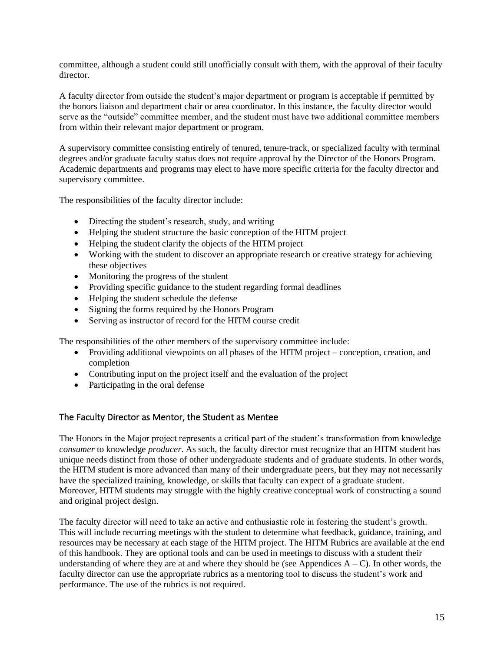committee, although a student could still unofficially consult with them, with the approval of their faculty director.

A faculty director from outside the student's major department or program is acceptable if permitted by the honors liaison and department chair or area coordinator. In this instance, the faculty director would serve as the "outside" committee member, and the student must have two additional committee members from within their relevant major department or program.

A supervisory committee consisting entirely of tenured, tenure-track, or specialized faculty with terminal degrees and/or graduate faculty status does not require approval by the Director of the Honors Program. Academic departments and programs may elect to have more specific criteria for the faculty director and supervisory committee.

The responsibilities of the faculty director include:

- Directing the student's research, study, and writing
- Helping the student structure the basic conception of the HITM project
- Helping the student clarify the objects of the HITM project
- Working with the student to discover an appropriate research or creative strategy for achieving these objectives
- Monitoring the progress of the student
- Providing specific guidance to the student regarding formal deadlines
- Helping the student schedule the defense
- Signing the forms required by the Honors Program
- Serving as instructor of record for the HITM course credit

The responsibilities of the other members of the supervisory committee include:

- Providing additional viewpoints on all phases of the HITM project conception, creation, and completion
- Contributing input on the project itself and the evaluation of the project
- Participating in the oral defense

#### <span id="page-17-0"></span>The Faculty Director as Mentor, the Student as Mentee

The Honors in the Major project represents a critical part of the student's transformation from knowledge *consumer* to knowledge *producer*. As such, the faculty director must recognize that an HITM student has unique needs distinct from those of other undergraduate students and of graduate students. In other words, the HITM student is more advanced than many of their undergraduate peers, but they may not necessarily have the specialized training, knowledge, or skills that faculty can expect of a graduate student. Moreover, HITM students may struggle with the highly creative conceptual work of constructing a sound and original project design.

The faculty director will need to take an active and enthusiastic role in fostering the student's growth. This will include recurring meetings with the student to determine what feedback, guidance, training, and resources may be necessary at each stage of the HITM project. The HITM Rubrics are available at the end of this handbook. They are optional tools and can be used in meetings to discuss with a student their understanding of where they are at and where they should be (see Appendices  $A - C$ ). In other words, the faculty director can use the appropriate rubrics as a mentoring tool to discuss the student's work and performance. The use of the rubrics is not required.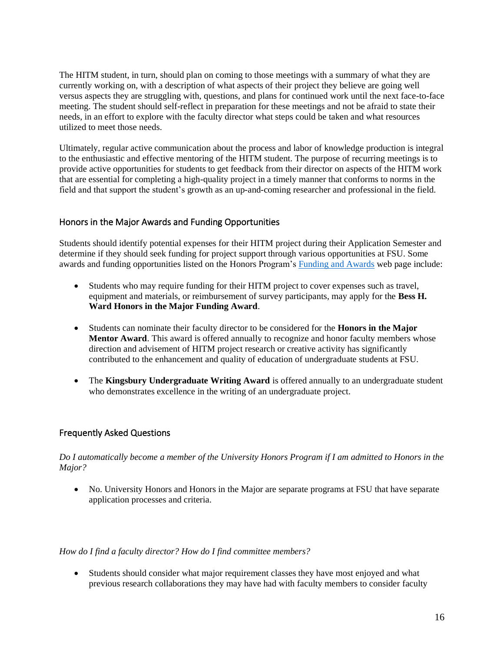The HITM student, in turn, should plan on coming to those meetings with a summary of what they are currently working on, with a description of what aspects of their project they believe are going well versus aspects they are struggling with, questions, and plans for continued work until the next face-to-face meeting. The student should self-reflect in preparation for these meetings and not be afraid to state their needs, in an effort to explore with the faculty director what steps could be taken and what resources utilized to meet those needs.

Ultimately, regular active communication about the process and labor of knowledge production is integral to the enthusiastic and effective mentoring of the HITM student. The purpose of recurring meetings is to provide active opportunities for students to get feedback from their director on aspects of the HITM work that are essential for completing a high-quality project in a timely manner that conforms to norms in the field and that support the student's growth as an up-and-coming researcher and professional in the field.

### <span id="page-18-0"></span>Honors in the Major Awards and Funding Opportunities

Students should identify potential expenses for their HITM project during their Application Semester and determine if they should seek funding for project support through various opportunities at FSU. Some awards and funding opportunities listed on the Honors Program'[s Funding and Awards](https://honors.fsu.edu/about-us/funding-and-awards) web page include:

- Students who may require funding for their HITM project to cover expenses such as travel, equipment and materials, or reimbursement of survey participants, may apply for the **Bess H. Ward Honors in the Major Funding Award**.
- Students can nominate their faculty director to be considered for the **Honors in the Major Mentor Award**. This award is offered annually to recognize and honor faculty members whose direction and advisement of HITM project research or creative activity has significantly contributed to the enhancement and quality of education of undergraduate students at FSU.
- The **Kingsbury Undergraduate Writing Award** is offered annually to an undergraduate student who demonstrates excellence in the writing of an undergraduate project.

#### <span id="page-18-1"></span>Frequently Asked Questions

*Do I automatically become a member of the University Honors Program if I am admitted to Honors in the Major?*

• No. University Honors and Honors in the Major are separate programs at FSU that have separate application processes and criteria.

#### *How do I find a faculty director? How do I find committee members?*

• Students should consider what major requirement classes they have most enjoyed and what previous research collaborations they may have had with faculty members to consider faculty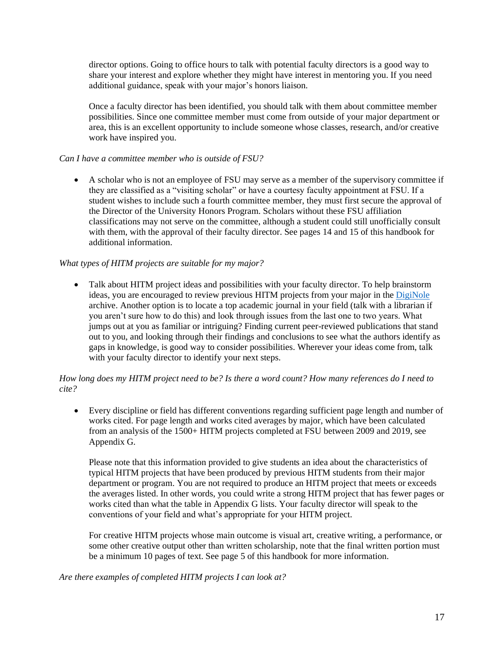director options. Going to office hours to talk with potential faculty directors is a good way to share your interest and explore whether they might have interest in mentoring you. If you need additional guidance, speak with your major's honors liaison.

Once a faculty director has been identified, you should talk with them about committee member possibilities. Since one committee member must come from outside of your major department or area, this is an excellent opportunity to include someone whose classes, research, and/or creative work have inspired you.

#### *Can I have a committee member who is outside of FSU?*

• A scholar who is not an employee of FSU may serve as a member of the supervisory committee if they are classified as a "visiting scholar" or have a courtesy faculty appointment at FSU. If a student wishes to include such a fourth committee member, they must first secure the approval of the Director of the University Honors Program. Scholars without these FSU affiliation classifications may not serve on the committee, although a student could still unofficially consult with them, with the approval of their faculty director. See pages 14 and 15 of this handbook for additional information.

#### *What types of HITM projects are suitable for my major?*

• Talk about HITM project ideas and possibilities with your faculty director. To help brainstorm ideas, you are encouraged to review previous HITM projects from your major in the [DigiNole](http://diginole.lib.fsu.edu/) archive. Another option is to locate a top academic journal in your field (talk with a librarian if you aren't sure how to do this) and look through issues from the last one to two years. What jumps out at you as familiar or intriguing? Finding current peer-reviewed publications that stand out to you, and looking through their findings and conclusions to see what the authors identify as gaps in knowledge, is good way to consider possibilities. Wherever your ideas come from, talk with your faculty director to identify your next steps.

#### *How long does my HITM project need to be? Is there a word count? How many references do I need to cite?*

• Every discipline or field has different conventions regarding sufficient page length and number of works cited. For page length and works cited averages by major, which have been calculated from an analysis of the 1500+ HITM projects completed at FSU between 2009 and 2019, see Appendix G.

Please note that this information provided to give students an idea about the characteristics of typical HITM projects that have been produced by previous HITM students from their major department or program. You are not required to produce an HITM project that meets or exceeds the averages listed. In other words, you could write a strong HITM project that has fewer pages or works cited than what the table in Appendix G lists. Your faculty director will speak to the conventions of your field and what's appropriate for your HITM project.

For creative HITM projects whose main outcome is visual art, creative writing, a performance, or some other creative output other than written scholarship, note that the final written portion must be a minimum 10 pages of text. See page 5 of this handbook for more information.

*Are there examples of completed HITM projects I can look at?*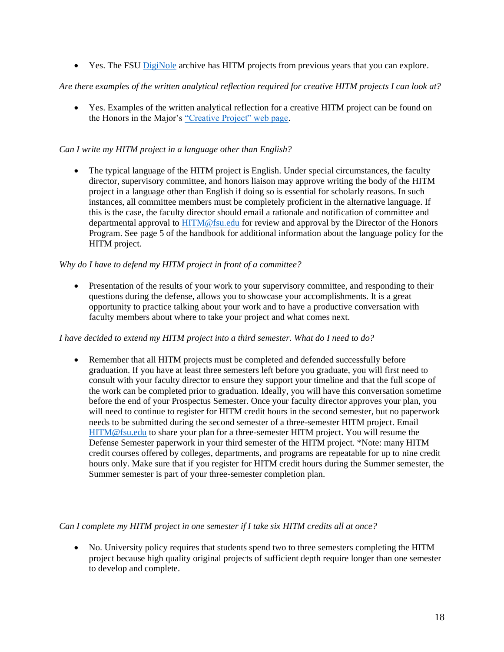• Yes. The FSU [DigiNole](http://diginole.lib.fsu.edu/) archive has HITM projects from previous years that you can explore.

#### *Are there examples of the written analytical reflection required for creative HITM projects I can look at?*

• Yes. Examples of the written analytical reflection for a creative HITM project can be found on the Honors in the Major's ["Creative Project" web page.](https://honors.fsu.edu/honors-major/creative-project)

#### *Can I write my HITM project in a language other than English?*

• The typical language of the HITM project is English. Under special circumstances, the faculty director, supervisory committee, and honors liaison may approve writing the body of the HITM project in a language other than English if doing so is essential for scholarly reasons. In such instances, all committee members must be completely proficient in the alternative language. If this is the case, the faculty director should email a rationale and notification of committee and departmental approval t[o HITM@fsu.edu](mailto:HITM@fsu.edu) for review and approval by the Director of the Honors Program. See page 5 of the handbook for additional information about the language policy for the HITM project.

#### *Why do I have to defend my HITM project in front of a committee?*

• Presentation of the results of your work to your supervisory committee, and responding to their questions during the defense, allows you to showcase your accomplishments. It is a great opportunity to practice talking about your work and to have a productive conversation with faculty members about where to take your project and what comes next.

#### *I have decided to extend my HITM project into a third semester. What do I need to do?*

• Remember that all HITM projects must be completed and defended successfully before graduation. If you have at least three semesters left before you graduate, you will first need to consult with your faculty director to ensure they support your timeline and that the full scope of the work can be completed prior to graduation. Ideally, you will have this conversation sometime before the end of your Prospectus Semester. Once your faculty director approves your plan, you will need to continue to register for HITM credit hours in the second semester, but no paperwork needs to be submitted during the second semester of a three-semester HITM project. Email [HITM@fsu.edu](mailto:HITM@fsu.edu) to share your plan for a three-semester HITM project. You will resume the Defense Semester paperwork in your third semester of the HITM project. \*Note: many HITM credit courses offered by colleges, departments, and programs are repeatable for up to nine credit hours only. Make sure that if you register for HITM credit hours during the Summer semester, the Summer semester is part of your three-semester completion plan.

#### *Can I complete my HITM project in one semester if I take six HITM credits all at once?*

• No. University policy requires that students spend two to three semesters completing the HITM project because high quality original projects of sufficient depth require longer than one semester to develop and complete.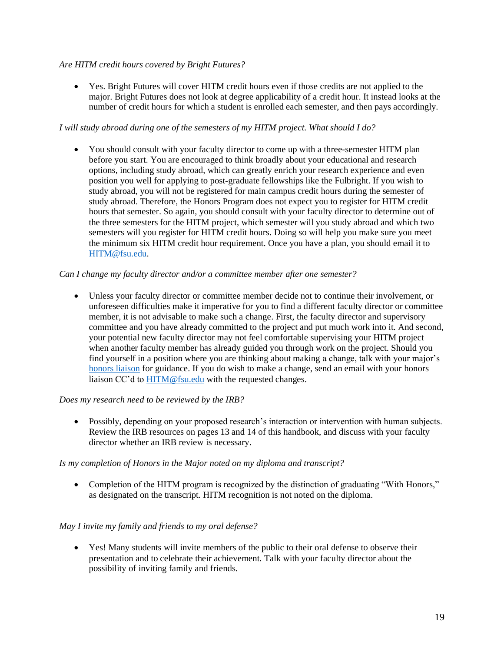#### *Are HITM credit hours covered by Bright Futures?*

• Yes. Bright Futures will cover HITM credit hours even if those credits are not applied to the major. Bright Futures does not look at degree applicability of a credit hour. It instead looks at the number of credit hours for which a student is enrolled each semester, and then pays accordingly.

#### *I will study abroad during one of the semesters of my HITM project. What should I do?*

• You should consult with your faculty director to come up with a three-semester HITM plan before you start. You are encouraged to think broadly about your educational and research options, including study abroad, which can greatly enrich your research experience and even position you well for applying to post-graduate fellowships like the Fulbright. If you wish to study abroad, you will not be registered for main campus credit hours during the semester of study abroad. Therefore, the Honors Program does not expect you to register for HITM credit hours that semester. So again, you should consult with your faculty director to determine out of the three semesters for the HITM project, which semester will you study abroad and which two semesters will you register for HITM credit hours. Doing so will help you make sure you meet the minimum six HITM credit hour requirement. Once you have a plan, you should email it to [HITM@fsu.edu.](mailto:HITM@fsu.edu)

#### *Can I change my faculty director and/or a committee member after one semester?*

• Unless your faculty director or committee member decide not to continue their involvement, or unforeseen difficulties make it imperative for you to find a different faculty director or committee member, it is not advisable to make such a change. First, the faculty director and supervisory committee and you have already committed to the project and put much work into it. And second, your potential new faculty director may not feel comfortable supervising your HITM project when another faculty member has already guided you through work on the project. Should you find yourself in a position where you are thinking about making a change, talk with your major's [honors](https://honors.fsu.edu/honors-major/faculty-and-staff/honors-liaisons) liaison for guidance. If you do wish to make a change, send an email with your honors liaison CC'd to [HITM@fsu.edu](mailto:HITM@fsu.edu) with the requested changes.

#### *Does my research need to be reviewed by the IRB?*

• Possibly, depending on your proposed research's interaction or intervention with human subjects. Review the IRB resources on pages 13 and 14 of this handbook, and discuss with your faculty director whether an IRB review is necessary.

#### *Is my completion of Honors in the Major noted on my diploma and transcript?*

• Completion of the HITM program is recognized by the distinction of graduating "With Honors," as designated on the transcript. HITM recognition is not noted on the diploma.

#### *May I invite my family and friends to my oral defense?*

• Yes! Many students will invite members of the public to their oral defense to observe their presentation and to celebrate their achievement. Talk with your faculty director about the possibility of inviting family and friends.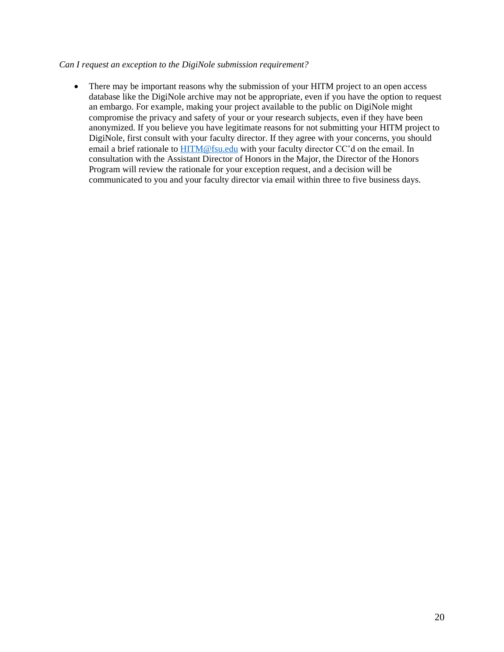#### *Can I request an exception to the DigiNole submission requirement?*

• There may be important reasons why the submission of your HITM project to an open access database like the DigiNole archive may not be appropriate, even if you have the option to request an embargo. For example, making your project available to the public on DigiNole might compromise the privacy and safety of your or your research subjects, even if they have been anonymized. If you believe you have legitimate reasons for not submitting your HITM project to DigiNole, first consult with your faculty director. If they agree with your concerns, you should email a brief rationale to **HITM@fsu.edu** with your faculty director CC'd on the email. In consultation with the Assistant Director of Honors in the Major, the Director of the Honors Program will review the rationale for your exception request, and a decision will be communicated to you and your faculty director via email within three to five business days.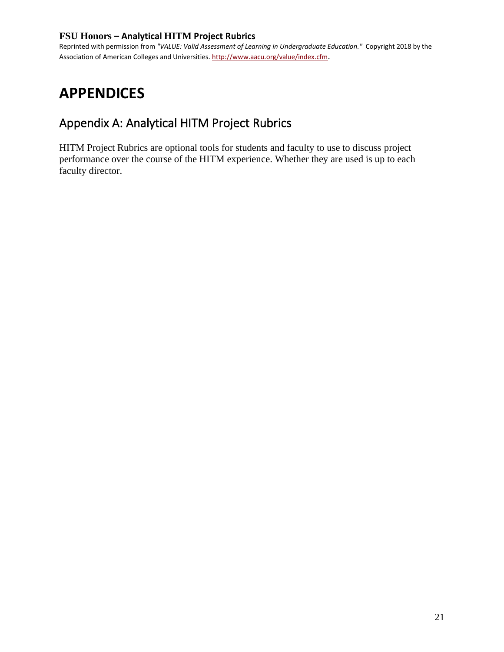Reprinted with permission from *"VALUE: Valid Assessment of Learning in Undergraduate Education."* Copyright 2018 by the Association of American Colleges and Universities. [http://www.aacu.org/value/index.cfm](https://www.aacu.org/value/index.cfm).

# **APPENDICES**

### <span id="page-23-0"></span>Appendix A: Analytical HITM Project Rubrics

HITM Project Rubrics are optional tools for students and faculty to use to discuss project performance over the course of the HITM experience. Whether they are used is up to each faculty director.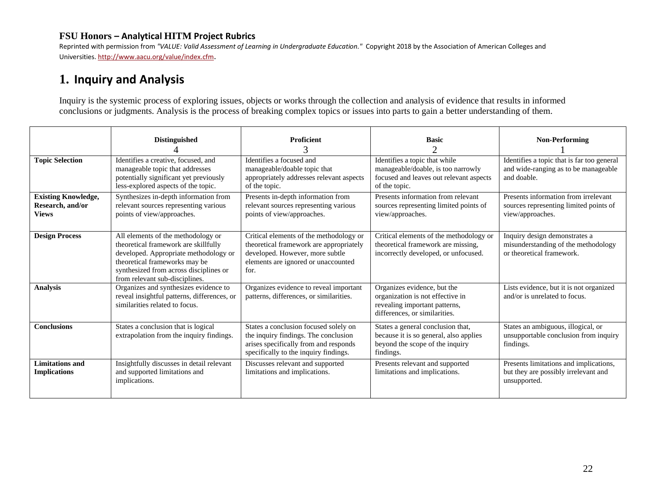Reprinted with permission from *"VALUE: Valid Assessment of Learning in Undergraduate Education."* Copyright 2018 by the Association of American Colleges and Universities. [http://www.aacu.org/value/index.cfm](https://www.aacu.org/value/index.cfm).

# **1. Inquiry and Analysis**

Inquiry is the systemic process of exploring issues, objects or works through the collection and analysis of evidence that results in informed conclusions or judgments. Analysis is the process of breaking complex topics or issues into parts to gain a better understanding of them.

|                                                                | <b>Distinguished</b>                                                                                                                                                                                                             | <b>Proficient</b><br>3                                                                                                                                               | <b>Basic</b>                                                                                                                      | Non-Performing                                                                                     |
|----------------------------------------------------------------|----------------------------------------------------------------------------------------------------------------------------------------------------------------------------------------------------------------------------------|----------------------------------------------------------------------------------------------------------------------------------------------------------------------|-----------------------------------------------------------------------------------------------------------------------------------|----------------------------------------------------------------------------------------------------|
| <b>Topic Selection</b>                                         | Identifies a creative, focused, and<br>manageable topic that addresses<br>potentially significant yet previously<br>less-explored aspects of the topic.                                                                          | Identifies a focused and<br>manageable/doable topic that<br>appropriately addresses relevant aspects<br>of the topic.                                                | Identifies a topic that while<br>manageable/doable, is too narrowly<br>focused and leaves out relevant aspects<br>of the topic.   | Identifies a topic that is far too general<br>and wide-ranging as to be manageable<br>and doable.  |
| <b>Existing Knowledge,</b><br>Research, and/or<br><b>Views</b> | Synthesizes in-depth information from<br>relevant sources representing various<br>points of view/approaches.                                                                                                                     | Presents in-depth information from<br>relevant sources representing various<br>points of view/approaches.                                                            | Presents information from relevant<br>sources representing limited points of<br>view/approaches.                                  | Presents information from irrelevant<br>sources representing limited points of<br>view/approaches. |
| <b>Design Process</b>                                          | All elements of the methodology or<br>theoretical framework are skillfully<br>developed. Appropriate methodology or<br>theoretical frameworks may be<br>synthesized from across disciplines or<br>from relevant sub-disciplines. | Critical elements of the methodology or<br>theoretical framework are appropriately<br>developed. However, more subtle<br>elements are ignored or unaccounted<br>for. | Critical elements of the methodology or<br>theoretical framework are missing,<br>incorrectly developed, or unfocused.             | Inquiry design demonstrates a<br>misunderstanding of the methodology<br>or theoretical framework.  |
| <b>Analysis</b>                                                | Organizes and synthesizes evidence to<br>reveal insightful patterns, differences, or<br>similarities related to focus.                                                                                                           | Organizes evidence to reveal important<br>patterns, differences, or similarities.                                                                                    | Organizes evidence, but the<br>organization is not effective in<br>revealing important patterns,<br>differences, or similarities. | Lists evidence, but it is not organized<br>and/or is unrelated to focus.                           |
| <b>Conclusions</b>                                             | States a conclusion that is logical<br>extrapolation from the inquiry findings.                                                                                                                                                  | States a conclusion focused solely on<br>the inquiry findings. The conclusion<br>arises specifically from and responds<br>specifically to the inquiry findings.      | States a general conclusion that,<br>because it is so general, also applies<br>beyond the scope of the inquiry<br>findings.       | States an ambiguous, illogical, or<br>unsupportable conclusion from inquiry<br>findings.           |
| <b>Limitations and</b><br><b>Implications</b>                  | Insightfully discusses in detail relevant<br>and supported limitations and<br>implications.                                                                                                                                      | Discusses relevant and supported<br>limitations and implications.                                                                                                    | Presents relevant and supported<br>limitations and implications.                                                                  | Presents limitations and implications,<br>but they are possibly irrelevant and<br>unsupported.     |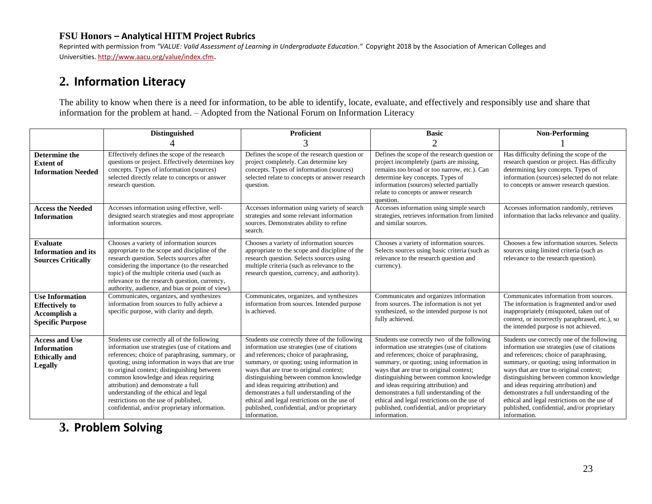Reprinted with permission from *"VALUE: Valid Assessment of Learning in Undergraduate Education."* Copyright 2018 by the Association of American Colleges and Universities. [http://www.aacu.org/value/index.cfm](https://www.aacu.org/value/index.cfm).

# **2. Information Literacy**

The ability to know when there is a need for information, to be able to identify, locate, evaluate, and effectively and responsibly use and share that information for the problem at hand. – Adopted from the National Forum on Information Literacy

|                                                                                            | <b>Distinguished</b>                                                                                                                                                                                                                                                                                                                                                                                                                                                     | Proficient                                                                                                                                                                                                                                                                                                                                                                                                                                                                     | <b>Basic</b>                                                                                                                                                                                                                                                                                                                                                                                                                                                                 | <b>Non-Performing</b>                                                                                                                                                                                                                                                                                                                                                                                                                                                        |
|--------------------------------------------------------------------------------------------|--------------------------------------------------------------------------------------------------------------------------------------------------------------------------------------------------------------------------------------------------------------------------------------------------------------------------------------------------------------------------------------------------------------------------------------------------------------------------|--------------------------------------------------------------------------------------------------------------------------------------------------------------------------------------------------------------------------------------------------------------------------------------------------------------------------------------------------------------------------------------------------------------------------------------------------------------------------------|------------------------------------------------------------------------------------------------------------------------------------------------------------------------------------------------------------------------------------------------------------------------------------------------------------------------------------------------------------------------------------------------------------------------------------------------------------------------------|------------------------------------------------------------------------------------------------------------------------------------------------------------------------------------------------------------------------------------------------------------------------------------------------------------------------------------------------------------------------------------------------------------------------------------------------------------------------------|
|                                                                                            |                                                                                                                                                                                                                                                                                                                                                                                                                                                                          | 3                                                                                                                                                                                                                                                                                                                                                                                                                                                                              |                                                                                                                                                                                                                                                                                                                                                                                                                                                                              |                                                                                                                                                                                                                                                                                                                                                                                                                                                                              |
| Determine the<br><b>Extent of</b><br><b>Information Needed</b>                             | Effectively defines the scope of the research<br>questions or project. Effectively determines key<br>concepts. Types of information (sources)<br>selected directly relate to concepts or answer<br>research question.                                                                                                                                                                                                                                                    | Defines the scope of the research question or<br>project completely. Can determine key<br>concepts. Types of information (sources)<br>selected relate to concepts or answer research<br>question.                                                                                                                                                                                                                                                                              | Defines the scope of the research question or<br>project incompletely (parts are missing,<br>remains too broad or too narrow, etc.). Can<br>determine key concepts. Types of<br>information (sources) selected partially<br>relate to concepts or answer research<br>question.                                                                                                                                                                                               | Has difficulty defining the scope of the<br>research question or project. Has difficulty<br>determining key concepts. Types of<br>information (sources) selected do not relate<br>to concepts or answer research question.                                                                                                                                                                                                                                                   |
| <b>Access the Needed</b><br><b>Information</b>                                             | Accesses information using effective, well-<br>designed search strategies and most appropriate<br>information sources.                                                                                                                                                                                                                                                                                                                                                   | Accesses information using variety of search<br>strategies and some relevant information<br>sources. Demonstrates ability to refine<br>search.                                                                                                                                                                                                                                                                                                                                 | Accesses information using simple search<br>strategies, retrieves information from limited<br>and similar sources.                                                                                                                                                                                                                                                                                                                                                           | Accesses information randomly, retrieves<br>information that lacks relevance and quality.                                                                                                                                                                                                                                                                                                                                                                                    |
| Evaluate<br><b>Information and its</b><br><b>Sources Critically</b>                        | Chooses a variety of information sources<br>appropriate to the scope and discipline of the<br>research question. Selects sources after<br>considering the importance (to the researched<br>topic) of the multiple criteria used (such as<br>relevance to the research question, currency,<br>authority, audience, and bias or point of view).                                                                                                                            | Chooses a variety of information sources<br>appropriate to the scope and discipline of the<br>research question. Selects sources using<br>multiple criteria (such as relevance to the<br>research question, currency, and authority).                                                                                                                                                                                                                                          | Chooses a variety of information sources.<br>Selects sources using basic criteria (such as<br>relevance to the research question and<br>currency).                                                                                                                                                                                                                                                                                                                           | Chooses a few information sources. Selects<br>sources using limited criteria (such as<br>relevance to the research question).                                                                                                                                                                                                                                                                                                                                                |
| <b>Use Information</b><br><b>Effectively to</b><br>Accomplish a<br><b>Specific Purpose</b> | Communicates, organizes, and synthesizes<br>information from sources to fully achieve a<br>specific purpose, with clarity and depth.                                                                                                                                                                                                                                                                                                                                     | Communicates, organizes, and synthesizes<br>information from sources. Intended purpose<br>is achieved.                                                                                                                                                                                                                                                                                                                                                                         | Communicates and organizes information<br>from sources. The information is not yet<br>synthesized, so the intended purpose is not<br>fully achieved.                                                                                                                                                                                                                                                                                                                         | Communicates information from sources.<br>The information is fragmented and/or used<br>inappropriately (misquoted, taken out of<br>context, or incorrectly paraphrased, etc.), so<br>the intended purpose is not achieved.                                                                                                                                                                                                                                                   |
| <b>Access and Use</b><br><b>Information</b><br><b>Ethically and</b><br><b>Legally</b>      | Students use correctly all of the following<br>information use strategies (use of citations and<br>references; choice of paraphrasing, summary, or<br>quoting; using information in ways that are true<br>to original context; distinguishing between<br>common knowledge and ideas requiring<br>attribution) and demonstrate a full<br>understanding of the ethical and legal<br>restrictions on the use of published,<br>confidential, and/or proprietary information. | Students use correctly three of the following<br>information use strategies (use of citations<br>and references; choice of paraphrasing,<br>summary, or quoting; using information in<br>ways that are true to original context;<br>distinguishing between common knowledge<br>and ideas requiring attribution) and<br>demonstrates a full understanding of the<br>ethical and legal restrictions on the use of<br>published, confidential, and/or proprietary<br>information. | Students use correctly two of the following<br>information use strategies (use of citations<br>and references; choice of paraphrasing,<br>summary, or quoting; using information in<br>ways that are true to original context;<br>distinguishing between common knowledge<br>and ideas requiring attribution) and<br>demonstrates a full understanding of the<br>ethical and legal restrictions on the use of<br>published, confidential, and/or proprietary<br>information. | Students use correctly one of the following<br>information use strategies (use of citations<br>and references; choice of paraphrasing,<br>summary, or quoting; using information in<br>ways that are true to original context;<br>distinguishing between common knowledge<br>and ideas requiring attribution) and<br>demonstrates a full understanding of the<br>ethical and legal restrictions on the use of<br>published, confidential, and/or proprietary<br>information. |

# **3. Problem Solving**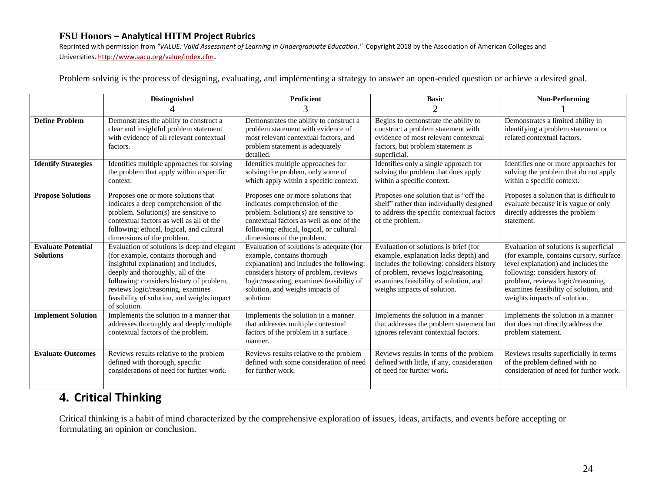Reprinted with permission from *"VALUE: Valid Assessment of Learning in Undergraduate Education."* Copyright 2018 by the Association of American Colleges and Universities. [http://www.aacu.org/value/index.cfm](https://www.aacu.org/value/index.cfm).

Problem solving is the process of designing, evaluating, and implementing a strategy to answer an open-ended question or achieve a desired goal.

|                                               | <b>Distinguished</b>                                                                                                                                                                                                                                                                                            | Proficient                                                                                                                                                                                                                                              | <b>Basic</b>                                                                                                                                                                                                                                | <b>Non-Performing</b>                                                                                                                                                                                                                                                     |
|-----------------------------------------------|-----------------------------------------------------------------------------------------------------------------------------------------------------------------------------------------------------------------------------------------------------------------------------------------------------------------|---------------------------------------------------------------------------------------------------------------------------------------------------------------------------------------------------------------------------------------------------------|---------------------------------------------------------------------------------------------------------------------------------------------------------------------------------------------------------------------------------------------|---------------------------------------------------------------------------------------------------------------------------------------------------------------------------------------------------------------------------------------------------------------------------|
|                                               |                                                                                                                                                                                                                                                                                                                 | 3                                                                                                                                                                                                                                                       | 2                                                                                                                                                                                                                                           |                                                                                                                                                                                                                                                                           |
| <b>Define Problem</b>                         | Demonstrates the ability to construct a<br>clear and insightful problem statement<br>with evidence of all relevant contextual<br>factors.                                                                                                                                                                       | Demonstrates the ability to construct a<br>problem statement with evidence of<br>most relevant contextual factors, and<br>problem statement is adequately<br>detailed.                                                                                  | Begins to demonstrate the ability to<br>construct a problem statement with<br>evidence of most relevant contextual<br>factors, but problem statement is<br>superficial.                                                                     | Demonstrates a limited ability in<br>identifying a problem statement or<br>related contextual factors.                                                                                                                                                                    |
| <b>Identify Strategies</b>                    | Identifies multiple approaches for solving<br>the problem that apply within a specific<br>context.                                                                                                                                                                                                              | Identifies multiple approaches for<br>solving the problem, only some of<br>which apply within a specific context.                                                                                                                                       | Identifies only a single approach for<br>solving the problem that does apply<br>within a specific context.                                                                                                                                  | Identifies one or more approaches for<br>solving the problem that do not apply<br>within a specific context.                                                                                                                                                              |
| <b>Propose Solutions</b>                      | Proposes one or more solutions that<br>indicates a deep comprehension of the<br>problem. Solution(s) are sensitive to<br>contextual factors as well as all of the<br>following: ethical, logical, and cultural<br>dimensions of the problem.                                                                    | Proposes one or more solutions that<br>indicates comprehension of the<br>problem. Solution(s) are sensitive to<br>contextual factors as well as one of the<br>following: ethical, logical, or cultural<br>dimensions of the problem.                    | Proposes one solution that is "off the<br>shelf" rather than individually designed<br>to address the specific contextual factors<br>of the problem.                                                                                         | Proposes a solution that is difficult to<br>evaluate because it is vague or only<br>directly addresses the problem<br>statement.                                                                                                                                          |
| <b>Evaluate Potential</b><br><b>Solutions</b> | Evaluation of solutions is deep and elegant<br>(for example, contains thorough and<br>insightful explanation) and includes,<br>deeply and thoroughly, all of the<br>following: considers history of problem,<br>reviews logic/reasoning, examines<br>feasibility of solution, and weighs impact<br>of solution. | Evaluation of solutions is adequate (for<br>example, contains thorough<br>explanation) and includes the following:<br>considers history of problem, reviews<br>logic/reasoning, examines feasibility of<br>solution, and weighs impacts of<br>solution. | Evaluation of solutions is brief (for<br>example, explanation lacks depth) and<br>includes the following: considers history<br>of problem, reviews logic/reasoning,<br>examines feasibility of solution, and<br>weighs impacts of solution. | Evaluation of solutions is superficial<br>(for example, contains cursory, surface<br>level explanation) and includes the<br>following: considers history of<br>problem, reviews logic/reasoning,<br>examines feasibility of solution, and<br>weights impacts of solution. |
| <b>Implement Solution</b>                     | Implements the solution in a manner that<br>addresses thoroughly and deeply multiple<br>contextual factors of the problem.                                                                                                                                                                                      | Implements the solution in a manner<br>that addresses multiple contextual<br>factors of the problem in a surface<br>manner.                                                                                                                             | Implements the solution in a manner<br>that addresses the problem statement but<br>ignores relevant contextual factors.                                                                                                                     | Implements the solution in a manner<br>that does not directly address the<br>problem statement.                                                                                                                                                                           |
| <b>Evaluate Outcomes</b>                      | Reviews results relative to the problem<br>defined with thorough, specific<br>considerations of need for further work.                                                                                                                                                                                          | Reviews results relative to the problem<br>defined with some consideration of need<br>for further work.                                                                                                                                                 | Reviews results in terms of the problem<br>defined with little, if any, consideration<br>of need for further work.                                                                                                                          | Reviews results superficially in terms<br>of the problem defined with no<br>consideration of need for further work.                                                                                                                                                       |

# **4. Critical Thinking**

Critical thinking is a habit of mind characterized by the comprehensive exploration of issues, ideas, artifacts, and events before accepting or formulating an opinion or conclusion.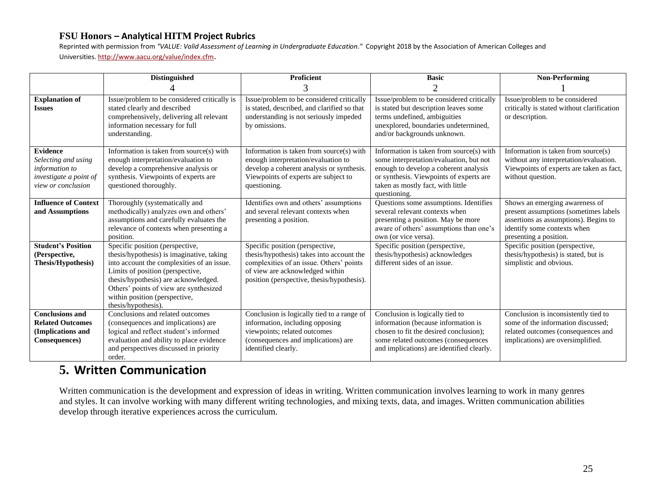Reprinted with permission from *"VALUE: Valid Assessment of Learning in Undergraduate Education."* Copyright 2018 by the Association of American Colleges and Universities. [http://www.aacu.org/value/index.cfm](https://www.aacu.org/value/index.cfm).

|                                                                                                          | <b>Distinguished</b>                                                                                                                                                                                                                                                                                     | <b>Proficient</b>                                                                                                                                                                                         | <b>Basic</b>                                                                                                                                                                                                                 | <b>Non-Performing</b>                                                                                                                                                     |
|----------------------------------------------------------------------------------------------------------|----------------------------------------------------------------------------------------------------------------------------------------------------------------------------------------------------------------------------------------------------------------------------------------------------------|-----------------------------------------------------------------------------------------------------------------------------------------------------------------------------------------------------------|------------------------------------------------------------------------------------------------------------------------------------------------------------------------------------------------------------------------------|---------------------------------------------------------------------------------------------------------------------------------------------------------------------------|
|                                                                                                          |                                                                                                                                                                                                                                                                                                          | 3                                                                                                                                                                                                         |                                                                                                                                                                                                                              |                                                                                                                                                                           |
| <b>Explanation of</b><br><b>Issues</b>                                                                   | Issue/problem to be considered critically is<br>stated clearly and described<br>comprehensively, delivering all relevant<br>information necessary for full<br>understanding.                                                                                                                             | Issue/problem to be considered critically<br>is stated, described, and clarified so that<br>understanding is not seriously impeded<br>by omissions.                                                       | Issue/problem to be considered critically<br>is stated but description leaves some<br>terms undefined, ambiguities<br>unexplored, boundaries undetermined,<br>and/or backgrounds unknown.                                    | Issue/problem to be considered<br>critically is stated without clarification<br>or description.                                                                           |
| <b>Evidence</b><br>Selecting and using<br>information to<br>investigate a point of<br>view or conclusion | Information is taken from source(s) with<br>enough interpretation/evaluation to<br>develop a comprehensive analysis or<br>synthesis. Viewpoints of experts are<br>questioned thoroughly.                                                                                                                 | Information is taken from source(s) with<br>enough interpretation/evaluation to<br>develop a coherent analysis or synthesis.<br>Viewpoints of experts are subject to<br>questioning.                      | Information is taken from source(s) with<br>some interpretation/evaluation, but not<br>enough to develop a coherent analysis<br>or synthesis. Viewpoints of experts are<br>taken as mostly fact, with little<br>questioning. | Information is taken from source(s)<br>without any interpretation/evaluation.<br>Viewpoints of experts are taken as fact,<br>without question.                            |
| <b>Influence of Context</b><br>and Assumptions                                                           | Thoroughly (systematically and<br>methodically) analyzes own and others'<br>assumptions and carefully evaluates the<br>relevance of contexts when presenting a<br>position.                                                                                                                              | Identifies own and others' assumptions<br>and several relevant contexts when<br>presenting a position.                                                                                                    | Questions some assumptions. Identifies<br>several relevant contexts when<br>presenting a position. May be more<br>aware of others' assumptions than one's<br>own (or vice versa).                                            | Shows an emerging awareness of<br>present assumptions (sometimes labels<br>assertions as assumptions). Begins to<br>identify some contexts when<br>presenting a position. |
| <b>Student's Position</b><br>(Perspective,<br>Thesis/Hypothesis)                                         | Specific position (perspective,<br>thesis/hypothesis) is imaginative, taking<br>into account the complexities of an issue.<br>Limits of position (perspective,<br>thesis/hypothesis) are acknowledged.<br>Others' points of view are synthesized<br>within position (perspective,<br>thesis/hypothesis). | Specific position (perspective,<br>thesis/hypothesis) takes into account the<br>complexities of an issue. Others' points<br>of view are acknowledged within<br>position (perspective, thesis/hypothesis). | Specific position (perspective,<br>thesis/hypothesis) acknowledges<br>different sides of an issue.                                                                                                                           | Specific position (perspective,<br>thesis/hypothesis) is stated, but is<br>simplistic and obvious.                                                                        |
| <b>Conclusions and</b><br><b>Related Outcomes</b><br>(Implications and<br>Consequences)                  | Conclusions and related outcomes<br>(consequences and implications) are<br>logical and reflect student's informed<br>evaluation and ability to place evidence<br>and perspectives discussed in priority<br>order.                                                                                        | Conclusion is logically tied to a range of<br>information, including opposing<br>viewpoints; related outcomes<br>(consequences and implications) are<br>identified clearly.                               | Conclusion is logically tied to<br>information (because information is<br>chosen to fit the desired conclusion);<br>some related outcomes (consequences<br>and implications) are identified clearly.                         | Conclusion is inconsistently tied to<br>some of the information discussed:<br>related outcomes (consequences and<br>implications) are oversimplified.                     |

### **5. Written Communication**

Written communication is the development and expression of ideas in writing. Written communication involves learning to work in many genres and styles. It can involve working with many different writing technologies, and mixing texts, data, and images. Written communication abilities develop through iterative experiences across the curriculum.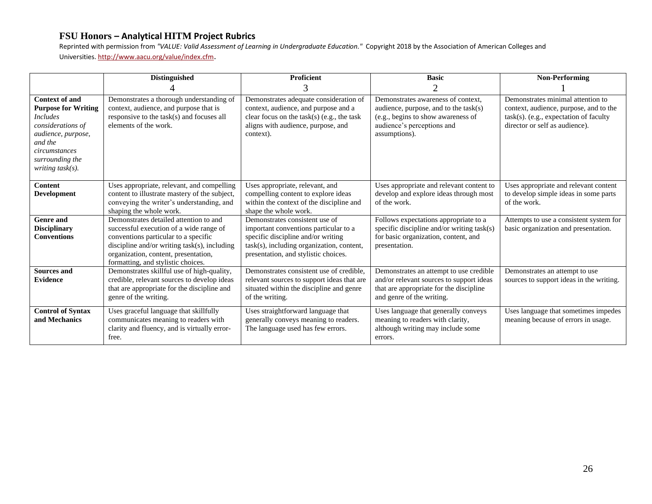Reprinted with permission from *"VALUE: Valid Assessment of Learning in Undergraduate Education."* Copyright 2018 by the Association of American Colleges and Universities. [http://www.aacu.org/value/index.cfm](https://www.aacu.org/value/index.cfm).

|                                                                                                                                                                                         | <b>Distinguished</b>                                                                                                                                                                                                                                       | Proficient                                                                                                                                                                                         | <b>Basic</b>                                                                                                                                                       | <b>Non-Performing</b>                                                                                                                                      |
|-----------------------------------------------------------------------------------------------------------------------------------------------------------------------------------------|------------------------------------------------------------------------------------------------------------------------------------------------------------------------------------------------------------------------------------------------------------|----------------------------------------------------------------------------------------------------------------------------------------------------------------------------------------------------|--------------------------------------------------------------------------------------------------------------------------------------------------------------------|------------------------------------------------------------------------------------------------------------------------------------------------------------|
|                                                                                                                                                                                         |                                                                                                                                                                                                                                                            | 3                                                                                                                                                                                                  |                                                                                                                                                                    |                                                                                                                                                            |
| <b>Context of and</b><br><b>Purpose for Writing</b><br><i>Includes</i><br>considerations of<br>audience, purpose,<br>and the<br>circumstances<br>surrounding the<br>writing $task(s)$ . | Demonstrates a thorough understanding of<br>context, audience, and purpose that is<br>responsive to the task(s) and focuses all<br>elements of the work.                                                                                                   | Demonstrates adequate consideration of<br>context, audience, and purpose and a<br>clear focus on the $task(s)$ (e.g., the task<br>aligns with audience, purpose, and<br>context).                  | Demonstrates awareness of context.<br>audience, purpose, and to the $task(s)$<br>(e.g., begins to show awareness of<br>audience's perceptions and<br>assumptions). | Demonstrates minimal attention to<br>context, audience, purpose, and to the<br>$task(s)$ . (e.g., expectation of faculty<br>director or self as audience). |
| Content<br><b>Development</b>                                                                                                                                                           | Uses appropriate, relevant, and compelling<br>content to illustrate mastery of the subject,<br>conveying the writer's understanding, and<br>shaping the whole work.                                                                                        | Uses appropriate, relevant, and<br>compelling content to explore ideas<br>within the context of the discipline and<br>shape the whole work.                                                        | Uses appropriate and relevant content to<br>develop and explore ideas through most<br>of the work.                                                                 | Uses appropriate and relevant content<br>to develop simple ideas in some parts<br>of the work.                                                             |
| <b>Genre</b> and<br><b>Disciplinary</b><br><b>Conventions</b>                                                                                                                           | Demonstrates detailed attention to and<br>successful execution of a wide range of<br>conventions particular to a specific<br>discipline and/or writing $task(s)$ , including<br>organization, content, presentation,<br>formatting, and stylistic choices. | Demonstrates consistent use of<br>important conventions particular to a<br>specific discipline and/or writing<br>task(s), including organization, content,<br>presentation, and stylistic choices. | Follows expectations appropriate to a<br>specific discipline and/or writing task(s)<br>for basic organization, content, and<br>presentation.                       | Attempts to use a consistent system for<br>basic organization and presentation.                                                                            |
| <b>Sources and</b><br><b>Evidence</b>                                                                                                                                                   | Demonstrates skillful use of high-quality,<br>credible, relevant sources to develop ideas<br>that are appropriate for the discipline and<br>genre of the writing.                                                                                          | Demonstrates consistent use of credible.<br>relevant sources to support ideas that are<br>situated within the discipline and genre<br>of the writing.                                              | Demonstrates an attempt to use credible<br>and/or relevant sources to support ideas<br>that are appropriate for the discipline<br>and genre of the writing.        | Demonstrates an attempt to use<br>sources to support ideas in the writing.                                                                                 |
| <b>Control of Syntax</b><br>and Mechanics                                                                                                                                               | Uses graceful language that skillfully<br>communicates meaning to readers with<br>clarity and fluency, and is virtually error-<br>free.                                                                                                                    | Uses straightforward language that<br>generally conveys meaning to readers.<br>The language used has few errors.                                                                                   | Uses language that generally conveys<br>meaning to readers with clarity,<br>although writing may include some<br>errors.                                           | Uses language that sometimes impedes<br>meaning because of errors in usage.                                                                                |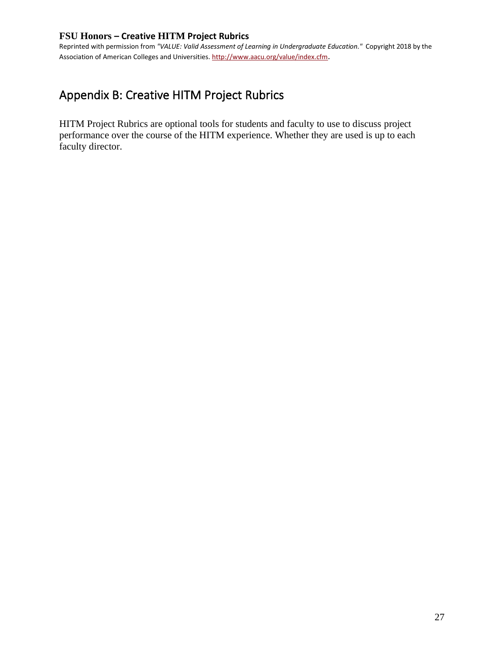Reprinted with permission from *"VALUE: Valid Assessment of Learning in Undergraduate Education."* Copyright 2018 by the Association of American Colleges and Universities. [http://www.aacu.org/value/index.cfm](https://www.aacu.org/value/index.cfm).

# <span id="page-29-0"></span>Appendix B: Creative HITM Project Rubrics

HITM Project Rubrics are optional tools for students and faculty to use to discuss project performance over the course of the HITM experience. Whether they are used is up to each faculty director.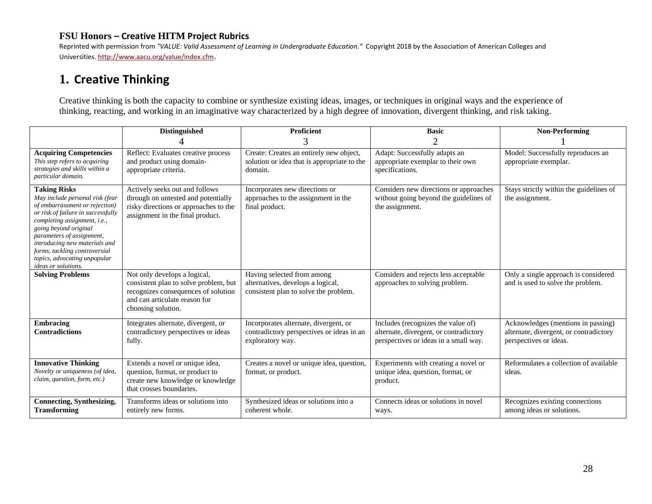Reprinted with permission from *"VALUE: Valid Assessment of Learning in Undergraduate Education."* Copyright 2018 by the Association of American Colleges and Universities. [http://www.aacu.org/value/index.cfm](https://www.aacu.org/value/index.cfm).

# **1. Creative Thinking**

Creative thinking is both the capacity to combine or synthesize existing ideas, images, or techniques in original ways and the experience of thinking, reacting, and working in an imaginative way characterized by a high degree of innovation, divergent thinking, and risk taking.

|                                                                                                                                                                                                                                                                                                                                               | <b>Distinguished</b>                                                                                                                                                | Proficient                                                                                               | <b>Basic</b>                                                                                                          | <b>Non-Performing</b>                                                                                  |
|-----------------------------------------------------------------------------------------------------------------------------------------------------------------------------------------------------------------------------------------------------------------------------------------------------------------------------------------------|---------------------------------------------------------------------------------------------------------------------------------------------------------------------|----------------------------------------------------------------------------------------------------------|-----------------------------------------------------------------------------------------------------------------------|--------------------------------------------------------------------------------------------------------|
|                                                                                                                                                                                                                                                                                                                                               |                                                                                                                                                                     | 3                                                                                                        | 2                                                                                                                     |                                                                                                        |
| <b>Acquiring Competencies</b><br>This step refers to acquiring<br>strategies and skills within a<br>particular domain.                                                                                                                                                                                                                        | Reflect: Evaluates creative process<br>and product using domain-<br>appropriate criteria.                                                                           | Create: Creates an entirely new object,<br>solution or idea that is appropriate to the<br>domain.        | Adapt: Successfully adapts an<br>appropriate exemplar to their own<br>specifications.                                 | Model: Successfully reproduces an<br>appropriate exemplar.                                             |
| <b>Taking Risks</b><br>May include personal risk (fear<br>of embarrassment or rejection)<br>or risk of failure in successfully<br>completing assignment, i.e.,<br>going beyond original<br>parameters of assignment,<br>introducing new materials and<br>forms, tackling controversial<br>topics, advocating unpopular<br>ideas or solutions. | Actively seeks out and follows<br>through on untested and potentially<br>risky directions or approaches to the<br>assignment in the final product.                  | Incorporates new directions or<br>approaches to the assignment in the<br>final product.                  | Considers new directions or approaches<br>without going beyond the guidelines of<br>the assignment.                   | Stays strictly within the guidelines of<br>the assignment.                                             |
| <b>Solving Problems</b>                                                                                                                                                                                                                                                                                                                       | Not only develops a logical,<br>consistent plan to solve problem, but<br>recognizes consequences of solution<br>and can articulate reason for<br>choosing solution. | Having selected from among<br>alternatives, develops a logical,<br>consistent plan to solve the problem. | Considers and rejects less acceptable<br>approaches to solving problem.                                               | Only a single approach is considered<br>and is used to solve the problem.                              |
| <b>Embracing</b><br><b>Contradictions</b>                                                                                                                                                                                                                                                                                                     | Integrates alternate, divergent, or<br>contradictory perspectives or ideas<br>fully.                                                                                | Incorporates alternate, divergent, or<br>contradictory perspectives or ideas in an<br>exploratory way.   | Includes (recognizes the value of)<br>alternate, divergent, or contradictory<br>perspectives or ideas in a small way. | Acknowledges (mentions in passing)<br>alternate, divergent, or contradictory<br>perspectives or ideas. |
| <b>Innovative Thinking</b><br>Novelty or uniqueness (of idea,<br>claim, question, form, etc.)                                                                                                                                                                                                                                                 | Extends a novel or unique idea,<br>question, format, or product to<br>create new knowledge or knowledge<br>that crosses boundaries.                                 | Creates a novel or unique idea, question,<br>format, or product.                                         | Experiments with creating a novel or<br>unique idea, question, format, or<br>product.                                 | Reformulates a collection of available<br>ideas.                                                       |
| <b>Connecting, Synthesizing,</b><br><b>Transforming</b>                                                                                                                                                                                                                                                                                       | Transforms ideas or solutions into<br>entirely new forms.                                                                                                           | Synthesized ideas or solutions into a<br>coherent whole.                                                 | Connects ideas or solutions in novel<br>ways.                                                                         | Recognizes existing connections<br>among ideas or solutions.                                           |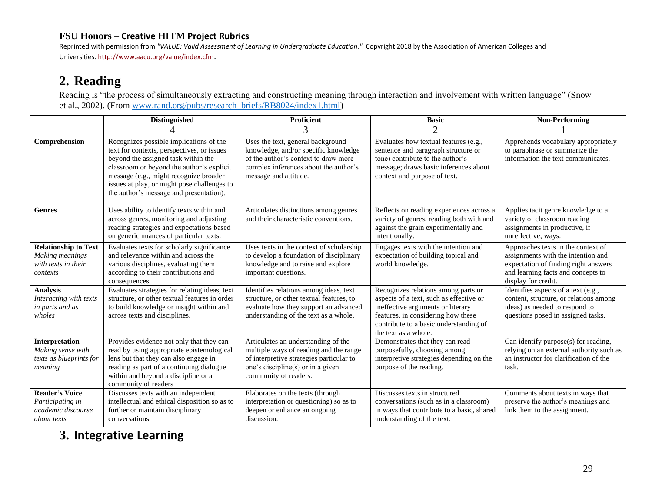Reprinted with permission from *"VALUE: Valid Assessment of Learning in Undergraduate Education."* Copyright 2018 by the Association of American Colleges and Universities. [http://www.aacu.org/value/index.cfm](https://www.aacu.org/value/index.cfm).

# **2. Reading**

Reading is "the process of simultaneously extracting and constructing meaning through interaction and involvement with written language" (Snow et al., 2002). (From [www.rand.org/pubs/research\\_briefs/RB8024/index1.html\)](http://www.rand.org/pubs/research_briefs/RB8024/index1.html)

|                                                                                       | <b>Distinguished</b>                                                                                                                                                                                                                                                                                          | <b>Proficient</b>                                                                                                                                                                       | <b>Basic</b>                                                                                                                                                                                                                | <b>Non-Performing</b>                                                                                                                                                         |
|---------------------------------------------------------------------------------------|---------------------------------------------------------------------------------------------------------------------------------------------------------------------------------------------------------------------------------------------------------------------------------------------------------------|-----------------------------------------------------------------------------------------------------------------------------------------------------------------------------------------|-----------------------------------------------------------------------------------------------------------------------------------------------------------------------------------------------------------------------------|-------------------------------------------------------------------------------------------------------------------------------------------------------------------------------|
|                                                                                       |                                                                                                                                                                                                                                                                                                               |                                                                                                                                                                                         |                                                                                                                                                                                                                             |                                                                                                                                                                               |
| Comprehension                                                                         | Recognizes possible implications of the<br>text for contexts, perspectives, or issues<br>beyond the assigned task within the<br>classroom or beyond the author's explicit<br>message (e.g., might recognize broader<br>issues at play, or might pose challenges to<br>the author's message and presentation). | Uses the text, general background<br>knowledge, and/or specific knowledge<br>of the author's context to draw more<br>complex inferences about the author's<br>message and attitude.     | Evaluates how textual features (e.g.,<br>sentence and paragraph structure or<br>tone) contribute to the author's<br>message; draws basic inferences about<br>context and purpose of text.                                   | Apprehends vocabulary appropriately<br>to paraphrase or summarize the<br>information the text communicates.                                                                   |
| Genres                                                                                | Uses ability to identify texts within and<br>across genres, monitoring and adjusting<br>reading strategies and expectations based<br>on generic nuances of particular texts.                                                                                                                                  | Articulates distinctions among genres<br>and their characteristic conventions.                                                                                                          | Reflects on reading experiences across a<br>variety of genres, reading both with and<br>against the grain experimentally and<br>intentionally.                                                                              | Applies tacit genre knowledge to a<br>variety of classroom reading<br>assignments in productive, if<br>unreflective, ways.                                                    |
| <b>Relationship to Text</b><br>Making meanings<br>with texts in their<br>contexts     | Evaluates texts for scholarly significance<br>and relevance within and across the<br>various disciplines, evaluating them<br>according to their contributions and<br>consequences.                                                                                                                            | Uses texts in the context of scholarship<br>to develop a foundation of disciplinary<br>knowledge and to raise and explore<br>important questions.                                       | Engages texts with the intention and<br>expectation of building topical and<br>world knowledge.                                                                                                                             | Approaches texts in the context of<br>assignments with the intention and<br>expectation of finding right answers<br>and learning facts and concepts to<br>display for credit. |
| Analysis<br>Interacting with texts<br>in parts and as<br>wholes                       | Evaluates strategies for relating ideas, text<br>structure, or other textual features in order<br>to build knowledge or insight within and<br>across texts and disciplines.                                                                                                                                   | Identifies relations among ideas, text<br>structure, or other textual features, to<br>evaluate how they support an advanced<br>understanding of the text as a whole.                    | Recognizes relations among parts or<br>aspects of a text, such as effective or<br>ineffective arguments or literary<br>features, in considering how these<br>contribute to a basic understanding of<br>the text as a whole. | Identifies aspects of a text (e.g.,<br>content, structure, or relations among<br>ideas) as needed to respond to<br>questions posed in assigned tasks.                         |
| Interpretation<br>Making sense with<br>texts as blueprints for<br>meaning             | Provides evidence not only that they can<br>read by using appropriate epistemological<br>lens but that they can also engage in<br>reading as part of a continuing dialogue<br>within and beyond a discipline or a<br>community of readers                                                                     | Articulates an understanding of the<br>multiple ways of reading and the range<br>of interpretive strategies particular to<br>one's discipline(s) or in a given<br>community of readers. | Demonstrates that they can read<br>purposefully, choosing among<br>interpretive strategies depending on the<br>purpose of the reading.                                                                                      | Can identify purpose(s) for reading,<br>relying on an external authority such as<br>an instructor for clarification of the<br>task.                                           |
| <b>Reader's Voice</b><br>Participating in<br>academic discourse<br><i>about texts</i> | Discusses texts with an independent<br>intellectual and ethical disposition so as to<br>further or maintain disciplinary<br>conversations.                                                                                                                                                                    | Elaborates on the texts (through<br>interpretation or questioning) so as to<br>deepen or enhance an ongoing<br>discussion.                                                              | Discusses texts in structured<br>conversations (such as in a classroom)<br>in ways that contribute to a basic, shared<br>understanding of the text.                                                                         | Comments about texts in ways that<br>preserve the author's meanings and<br>link them to the assignment.                                                                       |

# **3. Integrative Learning**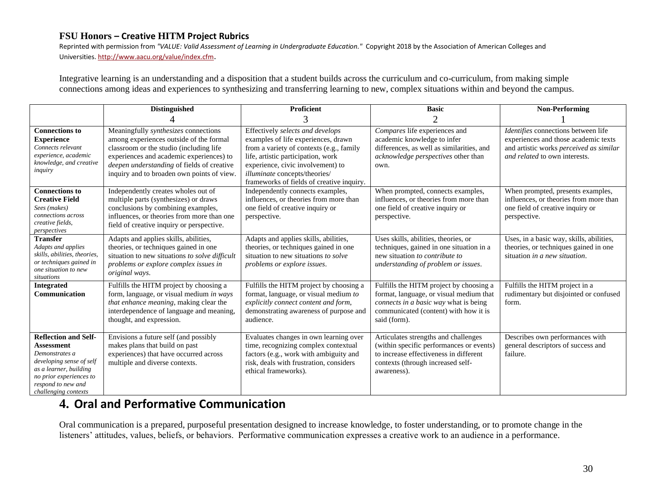Reprinted with permission from *"VALUE: Valid Assessment of Learning in Undergraduate Education."* Copyright 2018 by the Association of American Colleges and Universities. [http://www.aacu.org/value/index.cfm](https://www.aacu.org/value/index.cfm).

Integrative learning is an understanding and a disposition that a student builds across the curriculum and co-curriculum, from making simple connections among ideas and experiences to synthesizing and transferring learning to new, complex situations within and beyond the campus.

|                                                                                                                                                                                            | <b>Distinguished</b>                                                                                                                                                                                                                                               | Proficient                                                                                                                                                                                                                                                                   | <b>Basic</b>                                                                                                                                                                         | <b>Non-Performing</b>                                                                                                                                   |
|--------------------------------------------------------------------------------------------------------------------------------------------------------------------------------------------|--------------------------------------------------------------------------------------------------------------------------------------------------------------------------------------------------------------------------------------------------------------------|------------------------------------------------------------------------------------------------------------------------------------------------------------------------------------------------------------------------------------------------------------------------------|--------------------------------------------------------------------------------------------------------------------------------------------------------------------------------------|---------------------------------------------------------------------------------------------------------------------------------------------------------|
|                                                                                                                                                                                            |                                                                                                                                                                                                                                                                    | 3                                                                                                                                                                                                                                                                            | $\overline{2}$                                                                                                                                                                       |                                                                                                                                                         |
| <b>Connections to</b><br><b>Experience</b><br>Connects relevant<br>experience, academic<br>knowledge, and creative<br>inquiry                                                              | Meaningfully synthesizes connections<br>among experiences outside of the formal<br>classroom or the studio (including life<br>experiences and academic experiences) to<br>deepen understanding of fields of creative<br>inquiry and to broaden own points of view. | Effectively selects and develops<br>examples of life experiences, drawn<br>from a variety of contexts (e.g., family<br>life, artistic participation, work<br>experience, civic involvement) to<br>illuminate concepts/theories/<br>frameworks of fields of creative inquiry. | Compares life experiences and<br>academic knowledge to infer<br>differences, as well as similarities, and<br>acknowledge perspectives other than<br>own.                             | Identifies connections between life<br>experiences and those academic texts<br>and artistic works perceived as similar<br>and related to own interests. |
| <b>Connections to</b><br><b>Creative Field</b><br>Sees (makes)<br>connections across<br>creative fields,<br>perspectives                                                                   | Independently creates wholes out of<br>multiple parts (synthesizes) or draws<br>conclusions by combining examples,<br>influences, or theories from more than one<br>field of creative inquiry or perspective.                                                      | Independently connects examples,<br>influences, or theories from more than<br>one field of creative inquiry or<br>perspective.                                                                                                                                               | When prompted, connects examples,<br>influences, or theories from more than<br>one field of creative inquiry or<br>perspective.                                                      | When prompted, presents examples,<br>influences, or theories from more than<br>one field of creative inquiry or<br>perspective.                         |
| <b>Transfer</b><br>Adapts and applies<br>skills, abilities, theories,<br>or techniques gained in<br>one situation to new<br>situations                                                     | Adapts and applies skills, abilities,<br>theories, or techniques gained in one<br>situation to new situations to solve difficult<br>problems or explore complex issues in<br>original ways.                                                                        | Adapts and applies skills, abilities,<br>theories, or techniques gained in one<br>situation to new situations to solve<br>problems or explore issues.                                                                                                                        | Uses skills, abilities, theories, or<br>techniques, gained in one situation in a<br>new situation to contribute to<br>understanding of problem or issues.                            | Uses, in a basic way, skills, abilities,<br>theories, or techniques gained in one<br>situation in a new situation.                                      |
| <b>Integrated</b><br>Communication                                                                                                                                                         | Fulfills the HITM project by choosing a<br>form, language, or visual medium in ways<br>that enhance meaning, making clear the<br>interdependence of language and meaning,<br>thought, and expression.                                                              | Fulfills the HITM project by choosing a<br>format, language, or visual medium to<br>explicitly connect content and form,<br>demonstrating awareness of purpose and<br>audience.                                                                                              | Fulfills the HITM project by choosing a<br>format, language, or visual medium that<br>connects in a basic way what is being<br>communicated (content) with how it is<br>said (form). | Fulfills the HITM project in a<br>rudimentary but disjointed or confused<br>form.                                                                       |
| <b>Reflection and Self-</b><br>Assessment<br>Demonstrates a<br>developing sense of self<br>as a learner, building<br>no prior experiences to<br>respond to new and<br>challenging contexts | Envisions a future self (and possibly<br>makes plans that build on past<br>experiences) that have occurred across<br>multiple and diverse contexts.                                                                                                                | Evaluates changes in own learning over<br>time, recognizing complex contextual<br>factors (e.g., work with ambiguity and<br>risk, deals with frustration, considers<br>ethical frameworks).                                                                                  | Articulates strengths and challenges<br>(within specific performances or events)<br>to increase effectiveness in different<br>contexts (through increased self-<br>awareness).       | Describes own performances with<br>general descriptors of success and<br>failure.                                                                       |

### **4. Oral and Performative Communication**

Oral communication is a prepared, purposeful presentation designed to increase knowledge, to foster understanding, or to promote change in the listeners' attitudes, values, beliefs, or behaviors. Performative communication expresses a creative work to an audience in a performance.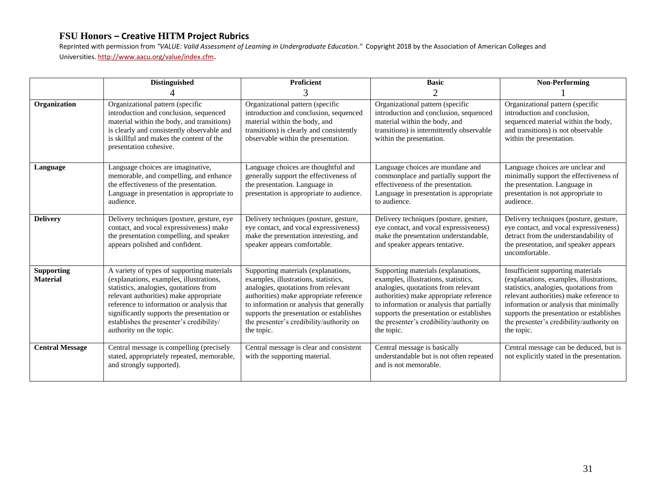Reprinted with permission from *"VALUE: Valid Assessment of Learning in Undergraduate Education."* Copyright 2018 by the Association of American Colleges and Universities. [http://www.aacu.org/value/index.cfm](https://www.aacu.org/value/index.cfm).

|                                      | <b>Distinguished</b>                                                                                                                                                                                                                                                                                                                        | <b>Proficient</b>                                                                                                                                                                                                                                                                                                | <b>Basic</b>                                                                                                                                                                                                                                                                                                     | <b>Non-Performing</b>                                                                                                                                                                                                                                                                                             |
|--------------------------------------|---------------------------------------------------------------------------------------------------------------------------------------------------------------------------------------------------------------------------------------------------------------------------------------------------------------------------------------------|------------------------------------------------------------------------------------------------------------------------------------------------------------------------------------------------------------------------------------------------------------------------------------------------------------------|------------------------------------------------------------------------------------------------------------------------------------------------------------------------------------------------------------------------------------------------------------------------------------------------------------------|-------------------------------------------------------------------------------------------------------------------------------------------------------------------------------------------------------------------------------------------------------------------------------------------------------------------|
|                                      |                                                                                                                                                                                                                                                                                                                                             |                                                                                                                                                                                                                                                                                                                  |                                                                                                                                                                                                                                                                                                                  |                                                                                                                                                                                                                                                                                                                   |
| Organization                         | Organizational pattern (specific<br>introduction and conclusion, sequenced<br>material within the body, and transitions)<br>is clearly and consistently observable and<br>is skillful and makes the content of the<br>presentation cohesive.                                                                                                | Organizational pattern (specific<br>introduction and conclusion, sequenced<br>material within the body, and<br>transitions) is clearly and consistently<br>observable within the presentation.                                                                                                                   | Organizational pattern (specific<br>introduction and conclusion, sequenced<br>material within the body, and<br>transitions) is intermittently observable<br>within the presentation.                                                                                                                             | Organizational pattern (specific<br>introduction and conclusion,<br>sequenced material within the body,<br>and transitions) is not observable<br>within the presentation.                                                                                                                                         |
| Language                             | Language choices are imaginative,<br>memorable, and compelling, and enhance<br>the effectiveness of the presentation.<br>Language in presentation is appropriate to<br>audience.                                                                                                                                                            | Language choices are thoughtful and<br>generally support the effectiveness of<br>the presentation. Language in<br>presentation is appropriate to audience.                                                                                                                                                       | Language choices are mundane and<br>commonplace and partially support the<br>effectiveness of the presentation.<br>Language in presentation is appropriate<br>to audience.                                                                                                                                       | Language choices are unclear and<br>minimally support the effectiveness of<br>the presentation. Language in<br>presentation is not appropriate to<br>audience.                                                                                                                                                    |
| <b>Delivery</b>                      | Delivery techniques (posture, gesture, eye<br>contact, and vocal expressiveness) make<br>the presentation compelling, and speaker<br>appears polished and confident.                                                                                                                                                                        | Delivery techniques (posture, gesture,<br>eye contact, and vocal expressiveness)<br>make the presentation interesting, and<br>speaker appears comfortable.                                                                                                                                                       | Delivery techniques (posture, gesture,<br>eye contact, and vocal expressiveness)<br>make the presentation understandable,<br>and speaker appears tentative.                                                                                                                                                      | Delivery techniques (posture, gesture,<br>eye contact, and vocal expressiveness)<br>detract from the understandability of<br>the presentation, and speaker appears<br>uncomfortable.                                                                                                                              |
| <b>Supporting</b><br><b>Material</b> | A variety of types of supporting materials<br>(explanations, examples, illustrations,<br>statistics, analogies, quotations from<br>relevant authorities) make appropriate<br>reference to information or analysis that<br>significantly supports the presentation or<br>establishes the presenter's credibility/<br>authority on the topic. | Supporting materials (explanations,<br>examples, illustrations, statistics,<br>analogies, quotations from relevant<br>authorities) make appropriate reference<br>to information or analysis that generally<br>supports the presentation or establishes<br>the presenter's credibility/authority on<br>the topic. | Supporting materials (explanations,<br>examples, illustrations, statistics,<br>analogies, quotations from relevant<br>authorities) make appropriate reference<br>to information or analysis that partially<br>supports the presentation or establishes<br>the presenter's credibility/authority on<br>the topic. | Insufficient supporting materials<br>(explanations, examples, illustrations,<br>statistics, analogies, quotations from<br>relevant authorities) make reference to<br>information or analysis that minimally<br>supports the presentation or establishes<br>the presenter's credibility/authority on<br>the topic. |
| <b>Central Message</b>               | Central message is compelling (precisely<br>stated, appropriately repeated, memorable,<br>and strongly supported).                                                                                                                                                                                                                          | Central message is clear and consistent<br>with the supporting material.                                                                                                                                                                                                                                         | Central message is basically<br>understandable but is not often repeated<br>and is not memorable.                                                                                                                                                                                                                | Central message can be deduced, but is<br>not explicitly stated in the presentation.                                                                                                                                                                                                                              |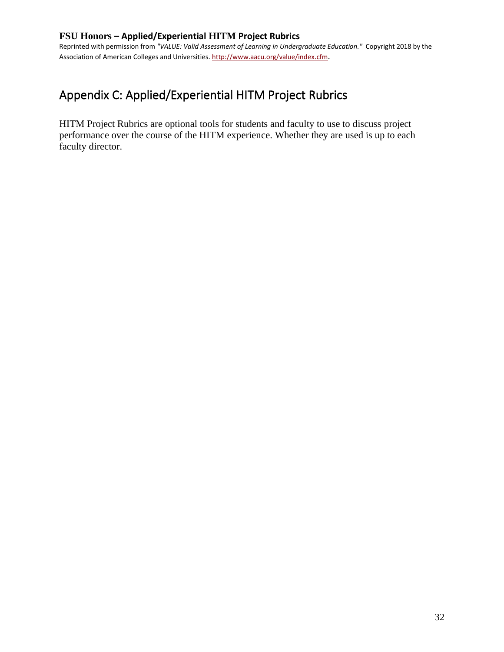Reprinted with permission from *"VALUE: Valid Assessment of Learning in Undergraduate Education."* Copyright 2018 by the Association of American Colleges and Universities. [http://www.aacu.org/value/index.cfm](https://www.aacu.org/value/index.cfm).

# <span id="page-34-0"></span>Appendix C: Applied/Experiential HITM Project Rubrics

HITM Project Rubrics are optional tools for students and faculty to use to discuss project performance over the course of the HITM experience. Whether they are used is up to each faculty director.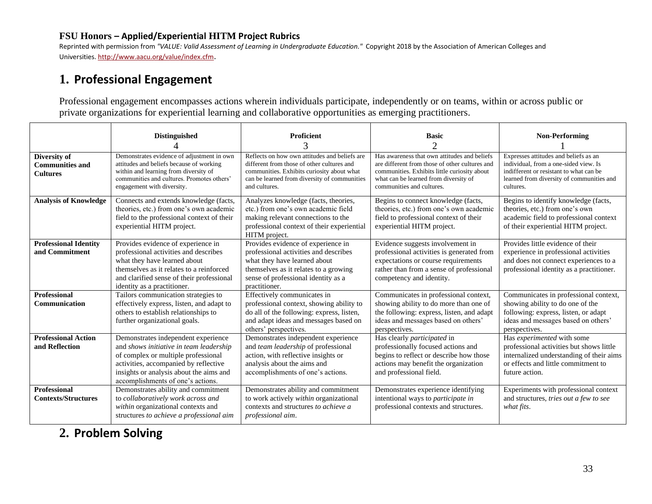Reprinted with permission from *"VALUE: Valid Assessment of Learning in Undergraduate Education."* Copyright 2018 by the Association of American Colleges and Universities. [http://www.aacu.org/value/index.cfm](https://www.aacu.org/value/index.cfm).

# **1. Professional Engagement**

Professional engagement encompasses actions wherein individuals participate, independently or on teams, within or across public or private organizations for experiential learning and collaborative opportunities as emerging practitioners.

|                                                           | <b>Distinguished</b>                                                                                                                                                                                                                           | <b>Proficient</b>                                                                                                                                                                                            | <b>Basic</b>                                                                                                                                                                                                         | <b>Non-Performing</b>                                                                                                                                                               |
|-----------------------------------------------------------|------------------------------------------------------------------------------------------------------------------------------------------------------------------------------------------------------------------------------------------------|--------------------------------------------------------------------------------------------------------------------------------------------------------------------------------------------------------------|----------------------------------------------------------------------------------------------------------------------------------------------------------------------------------------------------------------------|-------------------------------------------------------------------------------------------------------------------------------------------------------------------------------------|
| Diversity of<br><b>Communities and</b><br><b>Cultures</b> | Demonstrates evidence of adjustment in own<br>attitudes and beliefs because of working<br>within and learning from diversity of<br>communities and cultures. Promotes others'<br>engagement with diversity.                                    | Reflects on how own attitudes and beliefs are<br>different from those of other cultures and<br>communities. Exhibits curiosity about what<br>can be learned from diversity of communities<br>and cultures.   | Has awareness that own attitudes and beliefs<br>are different from those of other cultures and<br>communities. Exhibits little curiosity about<br>what can be learned from diversity of<br>communities and cultures. | Expresses attitudes and beliefs as an<br>individual, from a one-sided view. Is<br>indifferent or resistant to what can be<br>learned from diversity of communities and<br>cultures. |
| <b>Analysis of Knowledge</b>                              | Connects and extends knowledge (facts,<br>theories, etc.) from one's own academic<br>field to the professional context of their<br>experiential HITM project.                                                                                  | Analyzes knowledge (facts, theories,<br>etc.) from one's own academic field<br>making relevant connections to the<br>professional context of their experiential<br>HITM project.                             | Begins to connect knowledge (facts,<br>theories, etc.) from one's own academic<br>field to professional context of their<br>experiential HITM project.                                                               | Begins to identify knowledge (facts,<br>theories, etc.) from one's own<br>academic field to professional context<br>of their experiential HITM project.                             |
| <b>Professional Identity</b><br>and Commitment            | Provides evidence of experience in<br>professional activities and describes<br>what they have learned about<br>themselves as it relates to a reinforced<br>and clarified sense of their professional<br>identity as a practitioner.            | Provides evidence of experience in<br>professional activities and describes<br>what they have learned about<br>themselves as it relates to a growing<br>sense of professional identity as a<br>practitioner. | Evidence suggests involvement in<br>professional activities is generated from<br>expectations or course requirements<br>rather than from a sense of professional<br>competency and identity.                         | Provides little evidence of their<br>experience in professional activities<br>and does not connect experiences to a<br>professional identity as a practitioner.                     |
| <b>Professional</b><br><b>Communication</b>               | Tailors communication strategies to<br>effectively express, listen, and adapt to<br>others to establish relationships to<br>further organizational goals.                                                                                      | Effectively communicates in<br>professional context, showing ability to<br>do all of the following: express, listen,<br>and adapt ideas and messages based on<br>others' perspectives.                       | Communicates in professional context,<br>showing ability to do more than one of<br>the following: express, listen, and adapt<br>ideas and messages based on others'<br>perspectives.                                 | Communicates in professional context,<br>showing ability to do one of the<br>following: express, listen, or adapt<br>ideas and messages based on others'<br>perspectives.           |
| <b>Professional Action</b><br>and Reflection              | Demonstrates independent experience<br>and shows initiative in team leadership<br>of complex or multiple professional<br>activities, accompanied by reflective<br>insights or analysis about the aims and<br>accomplishments of one's actions. | Demonstrates independent experience<br>and team leadership of professional<br>action, with reflective insights or<br>analysis about the aims and<br>accomplishments of one's actions.                        | Has clearly participated in<br>professionally focused actions and<br>begins to reflect or describe how those<br>actions may benefit the organization<br>and professional field.                                      | Has experimented with some<br>professional activities but shows little<br>internalized understanding of their aims<br>or effects and little commitment to<br>future action.         |
| <b>Professional</b><br><b>Contexts/Structures</b>         | Demonstrates ability and commitment<br>to collaboratively work across and<br>within organizational contexts and<br>structures to achieve a professional aim                                                                                    | Demonstrates ability and commitment<br>to work actively within organizational<br>contexts and structures to achieve a<br>professional aim.                                                                   | Demonstrates experience identifying<br>intentional ways to participate in<br>professional contexts and structures.                                                                                                   | Experiments with professional context<br>and structures, tries out a few to see<br>what fits.                                                                                       |

### **2. Problem Solving**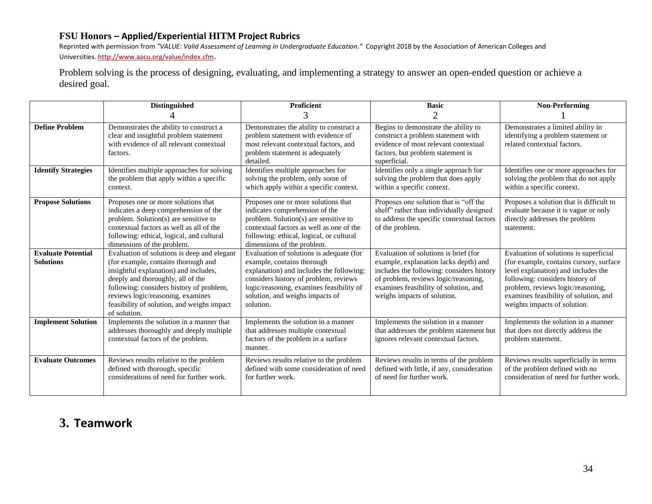Reprinted with permission from *"VALUE: Valid Assessment of Learning in Undergraduate Education."* Copyright 2018 by the Association of American Colleges and Universities. [http://www.aacu.org/value/index.cfm](https://www.aacu.org/value/index.cfm).

Problem solving is the process of designing, evaluating, and implementing a strategy to answer an open-ended question or achieve a desired goal.

|                                               | <b>Distinguished</b>                                                                                                                                                                                                                                                                                            | <b>Proficient</b>                                                                                                                                                                                                                                       | <b>Basic</b>                                                                                                                                                                                                                                | <b>Non-Performing</b>                                                                                                                                                                                                                                                     |
|-----------------------------------------------|-----------------------------------------------------------------------------------------------------------------------------------------------------------------------------------------------------------------------------------------------------------------------------------------------------------------|---------------------------------------------------------------------------------------------------------------------------------------------------------------------------------------------------------------------------------------------------------|---------------------------------------------------------------------------------------------------------------------------------------------------------------------------------------------------------------------------------------------|---------------------------------------------------------------------------------------------------------------------------------------------------------------------------------------------------------------------------------------------------------------------------|
|                                               |                                                                                                                                                                                                                                                                                                                 |                                                                                                                                                                                                                                                         |                                                                                                                                                                                                                                             |                                                                                                                                                                                                                                                                           |
| <b>Define Problem</b>                         | Demonstrates the ability to construct a<br>clear and insightful problem statement<br>with evidence of all relevant contextual<br>factors.                                                                                                                                                                       | Demonstrates the ability to construct a<br>problem statement with evidence of<br>most relevant contextual factors, and<br>problem statement is adequately<br>detailed.                                                                                  | Begins to demonstrate the ability to<br>construct a problem statement with<br>evidence of most relevant contextual<br>factors, but problem statement is<br>superficial.                                                                     | Demonstrates a limited ability in<br>identifying a problem statement or<br>related contextual factors.                                                                                                                                                                    |
| <b>Identify Strategies</b>                    | Identifies multiple approaches for solving<br>the problem that apply within a specific<br>context.                                                                                                                                                                                                              | Identifies multiple approaches for<br>solving the problem, only some of<br>which apply within a specific context.                                                                                                                                       | Identifies only a single approach for<br>solving the problem that does apply<br>within a specific context.                                                                                                                                  | Identifies one or more approaches for<br>solving the problem that do not apply<br>within a specific context.                                                                                                                                                              |
| <b>Propose Solutions</b>                      | Proposes one or more solutions that<br>indicates a deep comprehension of the<br>problem. Solution(s) are sensitive to<br>contextual factors as well as all of the<br>following: ethical, logical, and cultural<br>dimensions of the problem.                                                                    | Proposes one or more solutions that<br>indicates comprehension of the<br>problem. Solution(s) are sensitive to<br>contextual factors as well as one of the<br>following: ethical, logical, or cultural<br>dimensions of the problem.                    | Proposes one solution that is "off the<br>shelf" rather than individually designed<br>to address the specific contextual factors<br>of the problem.                                                                                         | Proposes a solution that is difficult to<br>evaluate because it is vague or only<br>directly addresses the problem<br>statement.                                                                                                                                          |
| <b>Evaluate Potential</b><br><b>Solutions</b> | Evaluation of solutions is deep and elegant<br>(for example, contains thorough and<br>insightful explanation) and includes,<br>deeply and thoroughly, all of the<br>following: considers history of problem,<br>reviews logic/reasoning, examines<br>feasibility of solution, and weighs impact<br>of solution. | Evaluation of solutions is adequate (for<br>example, contains thorough<br>explanation) and includes the following:<br>considers history of problem, reviews<br>logic/reasoning, examines feasibility of<br>solution, and weighs impacts of<br>solution. | Evaluation of solutions is brief (for<br>example, explanation lacks depth) and<br>includes the following: considers history<br>of problem, reviews logic/reasoning,<br>examines feasibility of solution, and<br>weighs impacts of solution. | Evaluation of solutions is superficial<br>(for example, contains cursory, surface<br>level explanation) and includes the<br>following: considers history of<br>problem, reviews logic/reasoning,<br>examines feasibility of solution, and<br>weights impacts of solution. |
| <b>Implement Solution</b>                     | Implements the solution in a manner that<br>addresses thoroughly and deeply multiple<br>contextual factors of the problem.                                                                                                                                                                                      | Implements the solution in a manner<br>that addresses multiple contextual<br>factors of the problem in a surface<br>manner.                                                                                                                             | Implements the solution in a manner<br>that addresses the problem statement but<br>ignores relevant contextual factors.                                                                                                                     | Implements the solution in a manner<br>that does not directly address the<br>problem statement.                                                                                                                                                                           |
| <b>Evaluate Outcomes</b>                      | Reviews results relative to the problem<br>defined with thorough, specific<br>considerations of need for further work.                                                                                                                                                                                          | Reviews results relative to the problem<br>defined with some consideration of need<br>for further work.                                                                                                                                                 | Reviews results in terms of the problem<br>defined with little, if any, consideration<br>of need for further work.                                                                                                                          | Reviews results superficially in terms<br>of the problem defined with no<br>consideration of need for further work.                                                                                                                                                       |

# **3. Teamwork**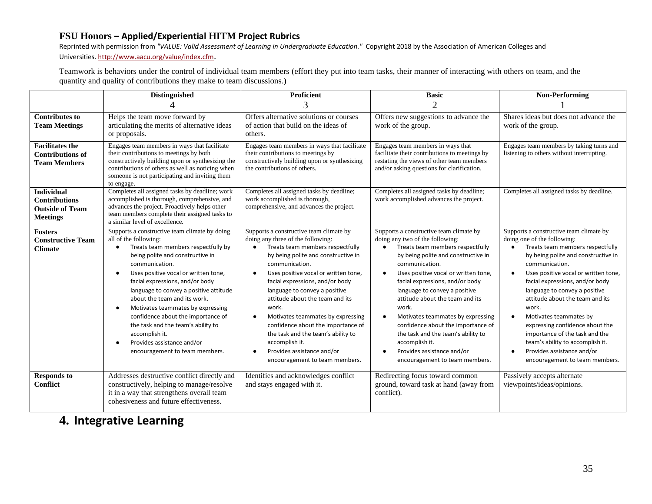Reprinted with permission from *"VALUE: Valid Assessment of Learning in Undergraduate Education."* Copyright 2018 by the Association of American Colleges and Universities. [http://www.aacu.org/value/index.cfm](https://www.aacu.org/value/index.cfm).

Teamwork is behaviors under the control of individual team members (effort they put into team tasks, their manner of interacting with others on team, and the quantity and quality of contributions they make to team discussions.)

|                                                                                        | <b>Distinguished</b>                                                                                                                                                                                                                                                                                                                                                                                                                                                                                                                                               | Proficient                                                                                                                                                                                                                                                                                                                                                                                                                                                                                                                                                                               | <b>Basic</b>                                                                                                                                                                                                                                                                                                                                                                                                                                                                                                                                                                           | <b>Non-Performing</b>                                                                                                                                                                                                                                                                                                                                                                                                                                                                                                                                                              |
|----------------------------------------------------------------------------------------|--------------------------------------------------------------------------------------------------------------------------------------------------------------------------------------------------------------------------------------------------------------------------------------------------------------------------------------------------------------------------------------------------------------------------------------------------------------------------------------------------------------------------------------------------------------------|------------------------------------------------------------------------------------------------------------------------------------------------------------------------------------------------------------------------------------------------------------------------------------------------------------------------------------------------------------------------------------------------------------------------------------------------------------------------------------------------------------------------------------------------------------------------------------------|----------------------------------------------------------------------------------------------------------------------------------------------------------------------------------------------------------------------------------------------------------------------------------------------------------------------------------------------------------------------------------------------------------------------------------------------------------------------------------------------------------------------------------------------------------------------------------------|------------------------------------------------------------------------------------------------------------------------------------------------------------------------------------------------------------------------------------------------------------------------------------------------------------------------------------------------------------------------------------------------------------------------------------------------------------------------------------------------------------------------------------------------------------------------------------|
|                                                                                        |                                                                                                                                                                                                                                                                                                                                                                                                                                                                                                                                                                    |                                                                                                                                                                                                                                                                                                                                                                                                                                                                                                                                                                                          | $\mathfrak{D}$                                                                                                                                                                                                                                                                                                                                                                                                                                                                                                                                                                         |                                                                                                                                                                                                                                                                                                                                                                                                                                                                                                                                                                                    |
| <b>Contributes to</b><br><b>Team Meetings</b>                                          | Helps the team move forward by<br>articulating the merits of alternative ideas<br>or proposals.                                                                                                                                                                                                                                                                                                                                                                                                                                                                    | Offers alternative solutions or courses<br>of action that build on the ideas of<br>others.                                                                                                                                                                                                                                                                                                                                                                                                                                                                                               | Offers new suggestions to advance the<br>work of the group.                                                                                                                                                                                                                                                                                                                                                                                                                                                                                                                            | Shares ideas but does not advance the<br>work of the group.                                                                                                                                                                                                                                                                                                                                                                                                                                                                                                                        |
| <b>Facilitates the</b><br><b>Contributions of</b><br><b>Team Members</b>               | Engages team members in ways that facilitate<br>their contributions to meetings by both<br>constructively building upon or synthesizing the<br>contributions of others as well as noticing when<br>someone is not participating and inviting them<br>to engage.                                                                                                                                                                                                                                                                                                    | Engages team members in ways that facilitate<br>their contributions to meetings by<br>constructively building upon or synthesizing<br>the contributions of others.                                                                                                                                                                                                                                                                                                                                                                                                                       | Engages team members in ways that<br>facilitate their contributions to meetings by<br>restating the views of other team members<br>and/or asking questions for clarification.                                                                                                                                                                                                                                                                                                                                                                                                          | Engages team members by taking turns and<br>listening to others without interrupting.                                                                                                                                                                                                                                                                                                                                                                                                                                                                                              |
| <b>Individual</b><br><b>Contributions</b><br><b>Outside of Team</b><br><b>Meetings</b> | Completes all assigned tasks by deadline; work<br>accomplished is thorough, comprehensive, and<br>advances the project. Proactively helps other<br>team members complete their assigned tasks to<br>a similar level of excellence.                                                                                                                                                                                                                                                                                                                                 | Completes all assigned tasks by deadline;<br>work accomplished is thorough,<br>comprehensive, and advances the project.                                                                                                                                                                                                                                                                                                                                                                                                                                                                  | Completes all assigned tasks by deadline;<br>work accomplished advances the project.                                                                                                                                                                                                                                                                                                                                                                                                                                                                                                   | Completes all assigned tasks by deadline.                                                                                                                                                                                                                                                                                                                                                                                                                                                                                                                                          |
| <b>Fosters</b><br><b>Constructive Team</b><br><b>Climate</b>                           | Supports a constructive team climate by doing<br>all of the following:<br>Treats team members respectfully by<br>$\bullet$<br>being polite and constructive in<br>communication.<br>Uses positive vocal or written tone,<br>$\bullet$<br>facial expressions, and/or body<br>language to convey a positive attitude<br>about the team and its work.<br>Motivates teammates by expressing<br>$\bullet$<br>confidence about the importance of<br>the task and the team's ability to<br>accomplish it.<br>Provides assistance and/or<br>encouragement to team members. | Supports a constructive team climate by<br>doing any three of the following:<br>Treats team members respectfully<br>$\bullet$<br>by being polite and constructive in<br>communication.<br>Uses positive vocal or written tone,<br>$\bullet$<br>facial expressions, and/or body<br>language to convey a positive<br>attitude about the team and its<br>work.<br>Motivates teammates by expressing<br>$\bullet$<br>confidence about the importance of<br>the task and the team's ability to<br>accomplish it.<br>Provides assistance and/or<br>$\bullet$<br>encouragement to team members. | Supports a constructive team climate by<br>doing any two of the following:<br>Treats team members respectfully<br>$\bullet$<br>by being polite and constructive in<br>communication.<br>Uses positive vocal or written tone,<br>$\bullet$<br>facial expressions, and/or body<br>language to convey a positive<br>attitude about the team and its<br>work.<br>Motivates teammates by expressing<br>$\bullet$<br>confidence about the importance of<br>the task and the team's ability to<br>accomplish it.<br>Provides assistance and/or<br>$\bullet$<br>encouragement to team members. | Supports a constructive team climate by<br>doing one of the following:<br>Treats team members respectfully<br>$\bullet$<br>by being polite and constructive in<br>communication.<br>Uses positive vocal or written tone,<br>$\bullet$<br>facial expressions, and/or body<br>language to convey a positive<br>attitude about the team and its<br>work.<br>Motivates teammates by<br>$\bullet$<br>expressing confidence about the<br>importance of the task and the<br>team's ability to accomplish it.<br>Provides assistance and/or<br>$\bullet$<br>encouragement to team members. |
| <b>Responds to</b><br><b>Conflict</b>                                                  | Addresses destructive conflict directly and<br>constructively, helping to manage/resolve<br>it in a way that strengthens overall team<br>cohesiveness and future effectiveness.                                                                                                                                                                                                                                                                                                                                                                                    | Identifies and acknowledges conflict<br>and stays engaged with it.                                                                                                                                                                                                                                                                                                                                                                                                                                                                                                                       | Redirecting focus toward common<br>ground, toward task at hand (away from<br>conflict).                                                                                                                                                                                                                                                                                                                                                                                                                                                                                                | Passively accepts alternate<br>viewpoints/ideas/opinions.                                                                                                                                                                                                                                                                                                                                                                                                                                                                                                                          |

# **4. Integrative Learning**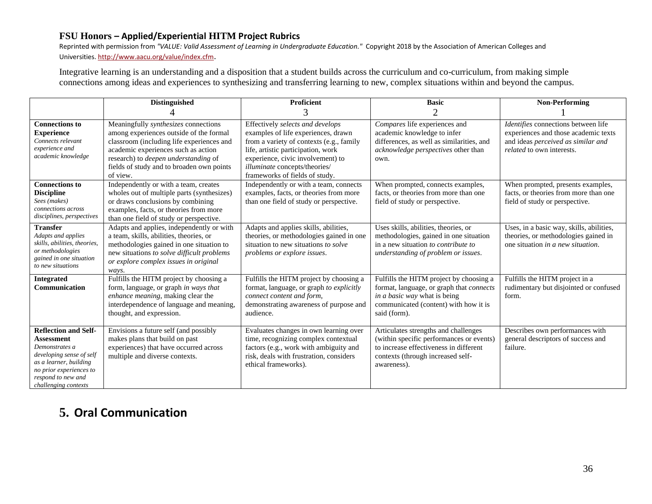Reprinted with permission from *"VALUE: Valid Assessment of Learning in Undergraduate Education."* Copyright 2018 by the Association of American Colleges and Universities. [http://www.aacu.org/value/index.cfm](https://www.aacu.org/value/index.cfm).

Integrative learning is an understanding and a disposition that a student builds across the curriculum and co-curriculum, from making simple connections among ideas and experiences to synthesizing and transferring learning to new, complex situations within and beyond the campus.

|                                                                                                                                                                                                   | <b>Distinguished</b>                                                                                                                                                                                                                                                        | <b>Proficient</b>                                                                                                                                                                                                                                                 | <b>Basic</b>                                                                                                                                                                   | <b>Non-Performing</b>                                                                                                                                 |
|---------------------------------------------------------------------------------------------------------------------------------------------------------------------------------------------------|-----------------------------------------------------------------------------------------------------------------------------------------------------------------------------------------------------------------------------------------------------------------------------|-------------------------------------------------------------------------------------------------------------------------------------------------------------------------------------------------------------------------------------------------------------------|--------------------------------------------------------------------------------------------------------------------------------------------------------------------------------|-------------------------------------------------------------------------------------------------------------------------------------------------------|
|                                                                                                                                                                                                   |                                                                                                                                                                                                                                                                             | 3                                                                                                                                                                                                                                                                 | 2                                                                                                                                                                              |                                                                                                                                                       |
| <b>Connections to</b><br><b>Experience</b><br>Connects relevant<br>experience and<br>academic knowledge                                                                                           | Meaningfully synthesizes connections<br>among experiences outside of the formal<br>classroom (including life experiences and<br>academic experiences such as action<br>research) to <i>deepen understanding</i> of<br>fields of study and to broaden own points<br>of view. | Effectively selects and develops<br>examples of life experiences, drawn<br>from a variety of contexts (e.g., family<br>life, artistic participation, work<br>experience, civic involvement) to<br>illuminate concepts/theories/<br>frameworks of fields of study. | Compares life experiences and<br>academic knowledge to infer<br>differences, as well as similarities, and<br>acknowledge perspectives other than<br>own.                       | Identifies connections between life<br>experiences and those academic texts<br>and ideas perceived as similar and<br><i>related</i> to own interests. |
| <b>Connections to</b><br><b>Discipline</b><br>Sees (makes)<br>connections across<br>disciplines, perspectives                                                                                     | Independently or with a team, creates<br>wholes out of multiple parts (synthesizes)<br>or draws conclusions by combining<br>examples, facts, or theories from more<br>than one field of study or perspective.                                                               | Independently or with a team, connects<br>examples, facts, or theories from more<br>than one field of study or perspective.                                                                                                                                       | When prompted, connects examples,<br>facts, or theories from more than one<br>field of study or perspective.                                                                   | When prompted, presents examples,<br>facts, or theories from more than one<br>field of study or perspective.                                          |
| <b>Transfer</b><br>Adapts and applies<br>skills, abilities, theories,<br>or methodologies<br>gained in one situation<br>to new situations                                                         | Adapts and applies, independently or with<br>a team, skills, abilities, theories, or<br>methodologies gained in one situation to<br>new situations to solve difficult problems<br>or explore complex issues in original<br>ways.                                            | Adapts and applies skills, abilities,<br>theories, or methodologies gained in one<br>situation to new situations to solve<br>problems or explore issues.                                                                                                          | Uses skills, abilities, theories, or<br>methodologies, gained in one situation<br>in a new situation to contribute to<br>understanding of problem or issues.                   | Uses, in a basic way, skills, abilities,<br>theories, or methodologies gained in<br>one situation in a new situation.                                 |
| <b>Integrated</b><br>Communication                                                                                                                                                                | Fulfills the HITM project by choosing a<br>form, language, or graph in ways that<br>enhance meaning, making clear the<br>interdependence of language and meaning,<br>thought, and expression.                                                                               | Fulfills the HITM project by choosing a<br>format, language, or graph to explicitly<br>connect content and form,<br>demonstrating awareness of purpose and<br>audience.                                                                                           | Fulfills the HITM project by choosing a<br>format, language, or graph that connects<br>in a basic way what is being<br>communicated (content) with how it is<br>said (form).   | Fulfills the HITM project in a<br>rudimentary but disjointed or confused<br>form.                                                                     |
| <b>Reflection and Self-</b><br><b>Assessment</b><br>Demonstrates a<br>developing sense of self<br>as a learner, building<br>no prior experiences to<br>respond to new and<br>challenging contexts | Envisions a future self (and possibly<br>makes plans that build on past<br>experiences) that have occurred across<br>multiple and diverse contexts.                                                                                                                         | Evaluates changes in own learning over<br>time, recognizing complex contextual<br>factors (e.g., work with ambiguity and<br>risk, deals with frustration, considers<br>ethical frameworks).                                                                       | Articulates strengths and challenges<br>(within specific performances or events)<br>to increase effectiveness in different<br>contexts (through increased self-<br>awareness). | Describes own performances with<br>general descriptors of success and<br>failure.                                                                     |

# **5. Oral Communication**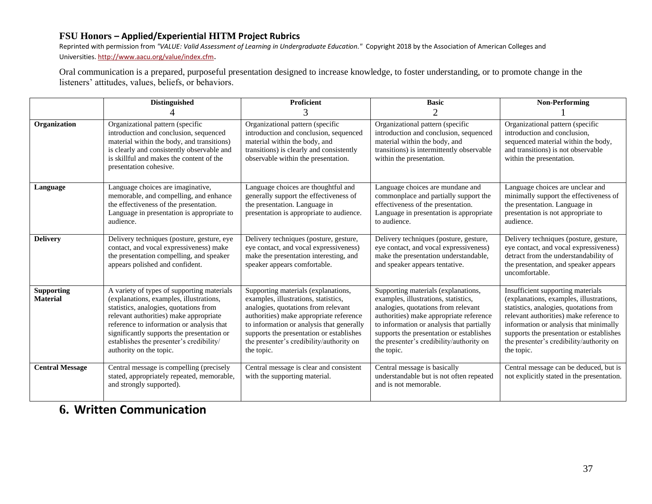Reprinted with permission from *"VALUE: Valid Assessment of Learning in Undergraduate Education."* Copyright 2018 by the Association of American Colleges and Universities. [http://www.aacu.org/value/index.cfm](https://www.aacu.org/value/index.cfm).

Oral communication is a prepared, purposeful presentation designed to increase knowledge, to foster understanding, or to promote change in the listeners' attitudes, values, beliefs, or behaviors.

|                                      | <b>Distinguished</b>                                                                                                                                                                                                                                                                                                                        | Proficient                                                                                                                                                                                                                                                                                                       | <b>Basic</b>                                                                                                                                                                                                                                                                                                     | <b>Non-Performing</b>                                                                                                                                                                                                                                                                                             |
|--------------------------------------|---------------------------------------------------------------------------------------------------------------------------------------------------------------------------------------------------------------------------------------------------------------------------------------------------------------------------------------------|------------------------------------------------------------------------------------------------------------------------------------------------------------------------------------------------------------------------------------------------------------------------------------------------------------------|------------------------------------------------------------------------------------------------------------------------------------------------------------------------------------------------------------------------------------------------------------------------------------------------------------------|-------------------------------------------------------------------------------------------------------------------------------------------------------------------------------------------------------------------------------------------------------------------------------------------------------------------|
|                                      |                                                                                                                                                                                                                                                                                                                                             | 3                                                                                                                                                                                                                                                                                                                |                                                                                                                                                                                                                                                                                                                  |                                                                                                                                                                                                                                                                                                                   |
| Organization                         | Organizational pattern (specific<br>introduction and conclusion, sequenced<br>material within the body, and transitions)<br>is clearly and consistently observable and<br>is skillful and makes the content of the<br>presentation cohesive.                                                                                                | Organizational pattern (specific<br>introduction and conclusion, sequenced<br>material within the body, and<br>transitions) is clearly and consistently<br>observable within the presentation.                                                                                                                   | Organizational pattern (specific<br>introduction and conclusion, sequenced<br>material within the body, and<br>transitions) is intermittently observable<br>within the presentation.                                                                                                                             | Organizational pattern (specific<br>introduction and conclusion,<br>sequenced material within the body,<br>and transitions) is not observable<br>within the presentation.                                                                                                                                         |
| Language                             | Language choices are imaginative,<br>memorable, and compelling, and enhance<br>the effectiveness of the presentation.<br>Language in presentation is appropriate to<br>audience.                                                                                                                                                            | Language choices are thoughtful and<br>generally support the effectiveness of<br>the presentation. Language in<br>presentation is appropriate to audience.                                                                                                                                                       | Language choices are mundane and<br>commonplace and partially support the<br>effectiveness of the presentation.<br>Language in presentation is appropriate<br>to audience.                                                                                                                                       | Language choices are unclear and<br>minimally support the effectiveness of<br>the presentation. Language in<br>presentation is not appropriate to<br>audience.                                                                                                                                                    |
| <b>Delivery</b>                      | Delivery techniques (posture, gesture, eye<br>contact, and vocal expressiveness) make<br>the presentation compelling, and speaker<br>appears polished and confident.                                                                                                                                                                        | Delivery techniques (posture, gesture,<br>eye contact, and vocal expressiveness)<br>make the presentation interesting, and<br>speaker appears comfortable.                                                                                                                                                       | Delivery techniques (posture, gesture,<br>eye contact, and vocal expressiveness)<br>make the presentation understandable,<br>and speaker appears tentative.                                                                                                                                                      | Delivery techniques (posture, gesture,<br>eye contact, and vocal expressiveness)<br>detract from the understandability of<br>the presentation, and speaker appears<br>uncomfortable.                                                                                                                              |
| <b>Supporting</b><br><b>Material</b> | A variety of types of supporting materials<br>(explanations, examples, illustrations,<br>statistics, analogies, quotations from<br>relevant authorities) make appropriate<br>reference to information or analysis that<br>significantly supports the presentation or<br>establishes the presenter's credibility/<br>authority on the topic. | Supporting materials (explanations,<br>examples, illustrations, statistics,<br>analogies, quotations from relevant<br>authorities) make appropriate reference<br>to information or analysis that generally<br>supports the presentation or establishes<br>the presenter's credibility/authority on<br>the topic. | Supporting materials (explanations,<br>examples, illustrations, statistics,<br>analogies, quotations from relevant<br>authorities) make appropriate reference<br>to information or analysis that partially<br>supports the presentation or establishes<br>the presenter's credibility/authority on<br>the topic. | Insufficient supporting materials<br>(explanations, examples, illustrations,<br>statistics, analogies, quotations from<br>relevant authorities) make reference to<br>information or analysis that minimally<br>supports the presentation or establishes<br>the presenter's credibility/authority on<br>the topic. |
| <b>Central Message</b>               | Central message is compelling (precisely<br>stated, appropriately repeated, memorable,<br>and strongly supported).                                                                                                                                                                                                                          | Central message is clear and consistent<br>with the supporting material.                                                                                                                                                                                                                                         | Central message is basically<br>understandable but is not often repeated<br>and is not memorable.                                                                                                                                                                                                                | Central message can be deduced, but is<br>not explicitly stated in the presentation.                                                                                                                                                                                                                              |

# **6. Written Communication**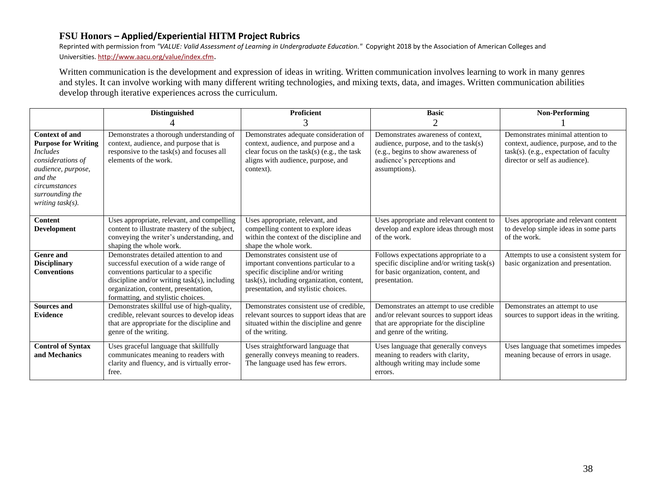Reprinted with permission from *"VALUE: Valid Assessment of Learning in Undergraduate Education."* Copyright 2018 by the Association of American Colleges and Universities. [http://www.aacu.org/value/index.cfm](https://www.aacu.org/value/index.cfm).

Written communication is the development and expression of ideas in writing. Written communication involves learning to work in many genres and styles. It can involve working with many different writing technologies, and mixing texts, data, and images. Written communication abilities develop through iterative experiences across the curriculum.

|                                                                                                                                                                                                  | <b>Distinguished</b>                                                                                                                                                                                                                                       | Proficient                                                                                                                                                                                         | <b>Basic</b>                                                                                                                                                       | <b>Non-Performing</b>                                                                                                                                   |
|--------------------------------------------------------------------------------------------------------------------------------------------------------------------------------------------------|------------------------------------------------------------------------------------------------------------------------------------------------------------------------------------------------------------------------------------------------------------|----------------------------------------------------------------------------------------------------------------------------------------------------------------------------------------------------|--------------------------------------------------------------------------------------------------------------------------------------------------------------------|---------------------------------------------------------------------------------------------------------------------------------------------------------|
|                                                                                                                                                                                                  |                                                                                                                                                                                                                                                            | 3                                                                                                                                                                                                  |                                                                                                                                                                    |                                                                                                                                                         |
| Context of and<br><b>Purpose for Writing</b><br><b>Includes</b><br>considerations of<br><i>audience</i> , <i>purpose</i> ,<br>and the<br>circumstances<br>surrounding the<br>writing $task(s)$ . | Demonstrates a thorough understanding of<br>context, audience, and purpose that is<br>responsive to the task(s) and focuses all<br>elements of the work.                                                                                                   | Demonstrates adequate consideration of<br>context, audience, and purpose and a<br>clear focus on the $task(s)$ (e.g., the task<br>aligns with audience, purpose, and<br>context).                  | Demonstrates awareness of context.<br>audience, purpose, and to the $task(s)$<br>(e.g., begins to show awareness of<br>audience's perceptions and<br>assumptions). | Demonstrates minimal attention to<br>context, audience, purpose, and to the<br>task(s). (e.g., expectation of faculty<br>director or self as audience). |
| <b>Content</b><br><b>Development</b>                                                                                                                                                             | Uses appropriate, relevant, and compelling<br>content to illustrate mastery of the subject,<br>conveying the writer's understanding, and<br>shaping the whole work.                                                                                        | Uses appropriate, relevant, and<br>compelling content to explore ideas<br>within the context of the discipline and<br>shape the whole work.                                                        | Uses appropriate and relevant content to<br>develop and explore ideas through most<br>of the work.                                                                 | Uses appropriate and relevant content<br>to develop simple ideas in some parts<br>of the work.                                                          |
| <b>Genre</b> and<br><b>Disciplinary</b><br><b>Conventions</b>                                                                                                                                    | Demonstrates detailed attention to and<br>successful execution of a wide range of<br>conventions particular to a specific<br>discipline and/or writing $task(s)$ , including<br>organization, content, presentation,<br>formatting, and stylistic choices. | Demonstrates consistent use of<br>important conventions particular to a<br>specific discipline and/or writing<br>task(s), including organization, content,<br>presentation, and stylistic choices. | Follows expectations appropriate to a<br>specific discipline and/or writing task(s)<br>for basic organization, content, and<br>presentation.                       | Attempts to use a consistent system for<br>basic organization and presentation.                                                                         |
| <b>Sources and</b><br><b>Evidence</b>                                                                                                                                                            | Demonstrates skillful use of high-quality,<br>credible, relevant sources to develop ideas<br>that are appropriate for the discipline and<br>genre of the writing.                                                                                          | Demonstrates consistent use of credible.<br>relevant sources to support ideas that are<br>situated within the discipline and genre<br>of the writing.                                              | Demonstrates an attempt to use credible<br>and/or relevant sources to support ideas<br>that are appropriate for the discipline<br>and genre of the writing.        | Demonstrates an attempt to use<br>sources to support ideas in the writing.                                                                              |
| <b>Control of Syntax</b><br>and Mechanics                                                                                                                                                        | Uses graceful language that skillfully<br>communicates meaning to readers with<br>clarity and fluency, and is virtually error-<br>free.                                                                                                                    | Uses straightforward language that<br>generally conveys meaning to readers.<br>The language used has few errors.                                                                                   | Uses language that generally conveys<br>meaning to readers with clarity,<br>although writing may include some<br>errors.                                           | Uses language that sometimes impedes<br>meaning because of errors in usage.                                                                             |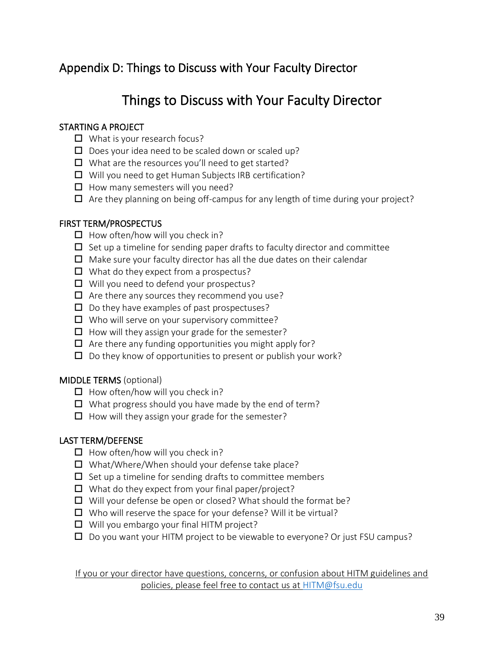# <span id="page-41-0"></span>Appendix D: Things to Discuss with Your Faculty Director

# Things to Discuss with Your Faculty Director

### STARTING A PROJECT

- $\Box$  What is your research focus?
- $\Box$  Does your idea need to be scaled down or scaled up?
- $\Box$  What are the resources you'll need to get started?
- $\Box$  Will you need to get Human Subjects IRB certification?
- $\Box$  How many semesters will you need?
- $\Box$  Are they planning on being off-campus for any length of time during your project?

### FIRST TERM/PROSPECTUS

- $\Box$  How often/how will you check in?
- $\Box$  Set up a timeline for sending paper drafts to faculty director and committee
- $\Box$  Make sure your faculty director has all the due dates on their calendar
- $\Box$  What do they expect from a prospectus?
- $\Box$  Will you need to defend your prospectus?
- $\Box$  Are there any sources they recommend you use?
- $\Box$  Do they have examples of past prospectuses?
- $\Box$  Who will serve on your supervisory committee?
- $\Box$  How will they assign your grade for the semester?
- $\Box$  Are there any funding opportunities you might apply for?
- $\square$  Do they know of opportunities to present or publish your work?

### MIDDLE TERMS (optional)

- $\Box$  How often/how will you check in?
- $\Box$  What progress should you have made by the end of term?
- $\Box$  How will they assign your grade for the semester?

#### LAST TERM/DEFENSE

- $\Box$  How often/how will you check in?
- $\Box$  What/Where/When should your defense take place?
- $\Box$  Set up a timeline for sending drafts to committee members
- $\Box$  What do they expect from your final paper/project?
- $\Box$  Will your defense be open or closed? What should the format be?
- $\Box$  Who will reserve the space for your defense? Will it be virtual?
- $\Box$  Will you embargo your final HITM project?
- $\Box$  Do you want your HITM project to be viewable to everyone? Or just FSU campus?

If you or your director have questions, concerns, or confusion about HITM guidelines and policies, please feel free to contact us at [HITM@fsu.edu](mailto:HITM@fsu.edu)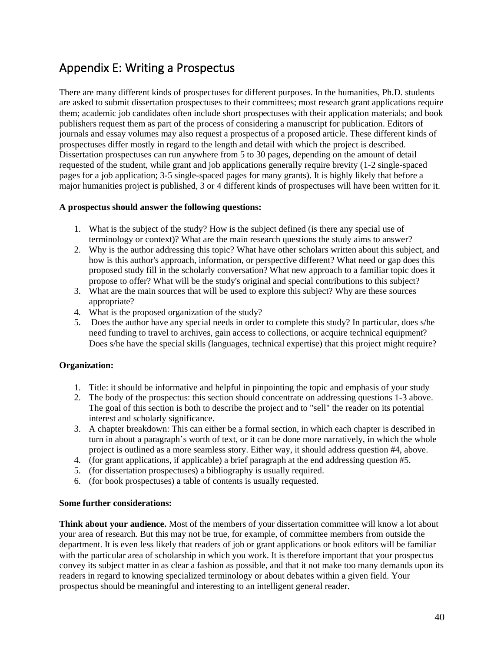# <span id="page-42-0"></span>Appendix E: Writing a Prospectus

There are many different kinds of prospectuses for different purposes. In the humanities, Ph.D. students are asked to submit dissertation prospectuses to their committees; most research grant applications require them; academic job candidates often include short prospectuses with their application materials; and book publishers request them as part of the process of considering a manuscript for publication. Editors of journals and essay volumes may also request a prospectus of a proposed article. These different kinds of prospectuses differ mostly in regard to the length and detail with which the project is described. Dissertation prospectuses can run anywhere from 5 to 30 pages, depending on the amount of detail requested of the student, while grant and job applications generally require brevity (1-2 single-spaced pages for a job application; 3-5 single-spaced pages for many grants). It is highly likely that before a major humanities project is published, 3 or 4 different kinds of prospectuses will have been written for it.

#### **A prospectus should answer the following questions:**

- 1. What is the subject of the study? How is the subject defined (is there any special use of terminology or context)? What are the main research questions the study aims to answer?
- 2. Why is the author addressing this topic? What have other scholars written about this subject, and how is this author's approach, information, or perspective different? What need or gap does this proposed study fill in the scholarly conversation? What new approach to a familiar topic does it propose to offer? What will be the study's original and special contributions to this subject?
- 3. What are the main sources that will be used to explore this subject? Why are these sources appropriate?
- 4. What is the proposed organization of the study?
- 5. Does the author have any special needs in order to complete this study? In particular, does s/he need funding to travel to archives, gain access to collections, or acquire technical equipment? Does s/he have the special skills (languages, technical expertise) that this project might require?

#### **Organization:**

- 1. Title: it should be informative and helpful in pinpointing the topic and emphasis of your study
- 2. The body of the prospectus: this section should concentrate on addressing questions 1-3 above. The goal of this section is both to describe the project and to "sell" the reader on its potential interest and scholarly significance.
- 3. A chapter breakdown: This can either be a formal section, in which each chapter is described in turn in about a paragraph's worth of text, or it can be done more narratively, in which the whole project is outlined as a more seamless story. Either way, it should address question #4, above.
- 4. (for grant applications, if applicable) a brief paragraph at the end addressing question #5.
- 5. (for dissertation prospectuses) a bibliography is usually required.
- 6. (for book prospectuses) a table of contents is usually requested.

#### **Some further considerations:**

**Think about your audience.** Most of the members of your dissertation committee will know a lot about your area of research. But this may not be true, for example, of committee members from outside the department. It is even less likely that readers of job or grant applications or book editors will be familiar with the particular area of scholarship in which you work. It is therefore important that your prospectus convey its subject matter in as clear a fashion as possible, and that it not make too many demands upon its readers in regard to knowing specialized terminology or about debates within a given field. Your prospectus should be meaningful and interesting to an intelligent general reader.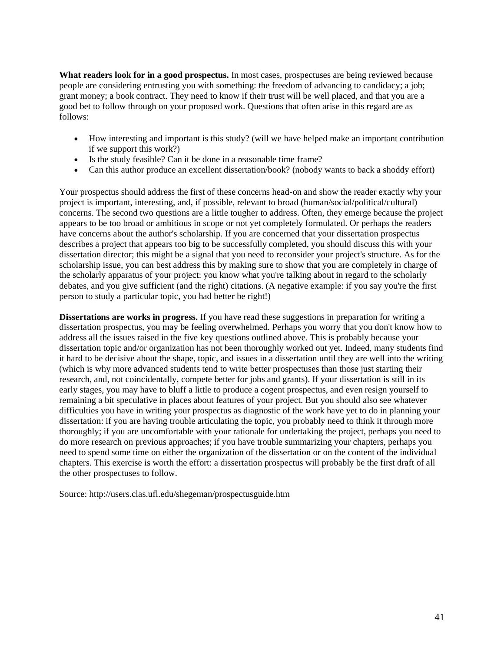**What readers look for in a good prospectus.** In most cases, prospectuses are being reviewed because people are considering entrusting you with something: the freedom of advancing to candidacy; a job; grant money; a book contract. They need to know if their trust will be well placed, and that you are a good bet to follow through on your proposed work. Questions that often arise in this regard are as follows:

- How interesting and important is this study? (will we have helped make an important contribution if we support this work?)
- Is the study feasible? Can it be done in a reasonable time frame?
- Can this author produce an excellent dissertation/book? (nobody wants to back a shoddy effort)

Your prospectus should address the first of these concerns head-on and show the reader exactly why your project is important, interesting, and, if possible, relevant to broad (human/social/political/cultural) concerns. The second two questions are a little tougher to address. Often, they emerge because the project appears to be too broad or ambitious in scope or not yet completely formulated. Or perhaps the readers have concerns about the author's scholarship. If you are concerned that your dissertation prospectus describes a project that appears too big to be successfully completed, you should discuss this with your dissertation director; this might be a signal that you need to reconsider your project's structure. As for the scholarship issue, you can best address this by making sure to show that you are completely in charge of the scholarly apparatus of your project: you know what you're talking about in regard to the scholarly debates, and you give sufficient (and the right) citations. (A negative example: if you say you're the first person to study a particular topic, you had better be right!)

**Dissertations are works in progress.** If you have read these suggestions in preparation for writing a dissertation prospectus, you may be feeling overwhelmed. Perhaps you worry that you don't know how to address all the issues raised in the five key questions outlined above. This is probably because your dissertation topic and/or organization has not been thoroughly worked out yet. Indeed, many students find it hard to be decisive about the shape, topic, and issues in a dissertation until they are well into the writing (which is why more advanced students tend to write better prospectuses than those just starting their research, and, not coincidentally, compete better for jobs and grants). If your dissertation is still in its early stages, you may have to bluff a little to produce a cogent prospectus, and even resign yourself to remaining a bit speculative in places about features of your project. But you should also see whatever difficulties you have in writing your prospectus as diagnostic of the work have yet to do in planning your dissertation: if you are having trouble articulating the topic, you probably need to think it through more thoroughly; if you are uncomfortable with your rationale for undertaking the project, perhaps you need to do more research on previous approaches; if you have trouble summarizing your chapters, perhaps you need to spend some time on either the organization of the dissertation or on the content of the individual chapters. This exercise is worth the effort: a dissertation prospectus will probably be the first draft of all the other prospectuses to follow.

Source: http://users.clas.ufl.edu/shegeman/prospectusguide.htm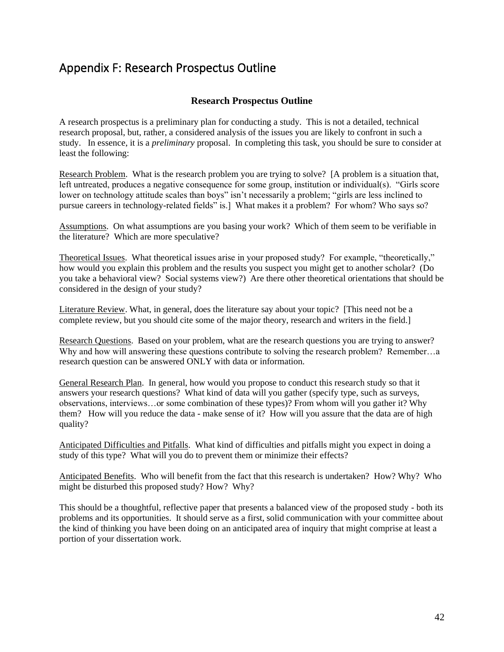# <span id="page-44-0"></span>Appendix F: Research Prospectus Outline

#### **Research Prospectus Outline**

A research prospectus is a preliminary plan for conducting a study. This is not a detailed, technical research proposal, but, rather, a considered analysis of the issues you are likely to confront in such a study. In essence, it is a *preliminary* proposal. In completing this task, you should be sure to consider at least the following:

Research Problem. What is the research problem you are trying to solve? [A problem is a situation that, left untreated, produces a negative consequence for some group, institution or individual(s). "Girls score lower on technology attitude scales than boys" isn't necessarily a problem; "girls are less inclined to pursue careers in technology-related fields" is.] What makes it a problem? For whom? Who says so?

Assumptions. On what assumptions are you basing your work? Which of them seem to be verifiable in the literature? Which are more speculative?

Theoretical Issues. What theoretical issues arise in your proposed study? For example, "theoretically," how would you explain this problem and the results you suspect you might get to another scholar? (Do you take a behavioral view? Social systems view?) Are there other theoretical orientations that should be considered in the design of your study?

Literature Review. What, in general, does the literature say about your topic? [This need not be a complete review, but you should cite some of the major theory, research and writers in the field.]

Research Questions. Based on your problem, what are the research questions you are trying to answer? Why and how will answering these questions contribute to solving the research problem? Remember...a research question can be answered ONLY with data or information.

General Research Plan. In general, how would you propose to conduct this research study so that it answers your research questions? What kind of data will you gather (specify type, such as surveys, observations, interviews…or some combination of these types)? From whom will you gather it? Why them? How will you reduce the data - make sense of it? How will you assure that the data are of high quality?

Anticipated Difficulties and Pitfalls. What kind of difficulties and pitfalls might you expect in doing a study of this type? What will you do to prevent them or minimize their effects?

Anticipated Benefits. Who will benefit from the fact that this research is undertaken? How? Why? Who might be disturbed this proposed study? How? Why?

This should be a thoughtful, reflective paper that presents a balanced view of the proposed study - both its problems and its opportunities. It should serve as a first, solid communication with your committee about the kind of thinking you have been doing on an anticipated area of inquiry that might comprise at least a portion of your dissertation work.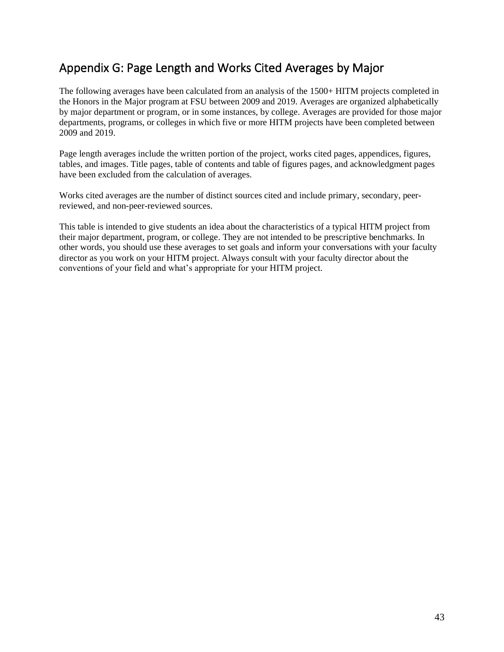# <span id="page-45-0"></span>Appendix G: Page Length and Works Cited Averages by Major

The following averages have been calculated from an analysis of the 1500+ HITM projects completed in the Honors in the Major program at FSU between 2009 and 2019. Averages are organized alphabetically by major department or program, or in some instances, by college. Averages are provided for those major departments, programs, or colleges in which five or more HITM projects have been completed between 2009 and 2019.

Page length averages include the written portion of the project, works cited pages, appendices, figures, tables, and images. Title pages, table of contents and table of figures pages, and acknowledgment pages have been excluded from the calculation of averages.

Works cited averages are the number of distinct sources cited and include primary, secondary, peerreviewed, and non-peer-reviewed sources.

This table is intended to give students an idea about the characteristics of a typical HITM project from their major department, program, or college. They are not intended to be prescriptive benchmarks. In other words, you should use these averages to set goals and inform your conversations with your faculty director as you work on your HITM project. Always consult with your faculty director about the conventions of your field and what's appropriate for your HITM project.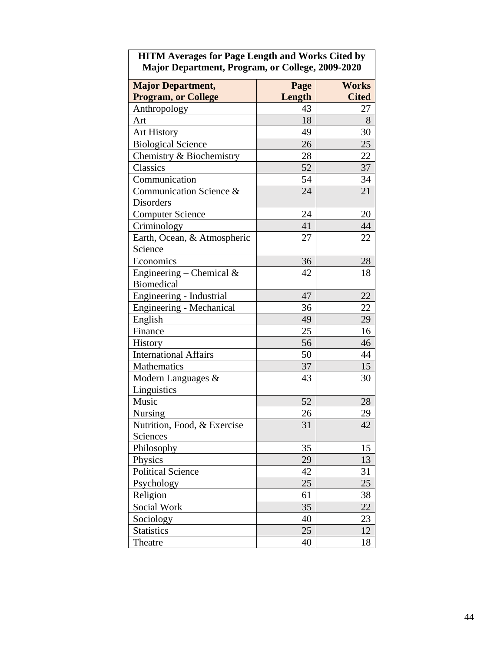| $\frac{1}{11}$ and $\frac{1}{100}$ to $\frac{1}{100}$ and $\frac{1}{100}$<br>Major Department, Program, or College, 2009-2020 |        |              |  |
|-------------------------------------------------------------------------------------------------------------------------------|--------|--------------|--|
| <b>Major Department,</b>                                                                                                      | Page   | <b>Works</b> |  |
| <b>Program, or College</b>                                                                                                    | Length | <b>Cited</b> |  |
| Anthropology                                                                                                                  | 43     | 27           |  |
| Art                                                                                                                           | 18     | $8\,$        |  |
| <b>Art History</b>                                                                                                            | 49     | 30           |  |
| <b>Biological Science</b>                                                                                                     | 26     | 25           |  |
| Chemistry & Biochemistry                                                                                                      | 28     | 22           |  |
| Classics                                                                                                                      | 52     | 37           |  |
| Communication                                                                                                                 | 54     | 34           |  |
| Communication Science &                                                                                                       | 24     | 21           |  |
| Disorders                                                                                                                     |        |              |  |
| <b>Computer Science</b>                                                                                                       | 24     | 20           |  |
| Criminology                                                                                                                   | 41     | 44           |  |
| Earth, Ocean, & Atmospheric                                                                                                   | 27     | 22           |  |
| Science                                                                                                                       |        |              |  |
| Economics                                                                                                                     | 36     | 28           |  |
| Engineering – Chemical &                                                                                                      | 42     | 18           |  |
| <b>Biomedical</b>                                                                                                             |        |              |  |
| Engineering - Industrial                                                                                                      | 47     | 22           |  |
| Engineering - Mechanical                                                                                                      | 36     | 22           |  |
| English                                                                                                                       | 49     | 29           |  |
| Finance                                                                                                                       | 25     | 16           |  |
| History                                                                                                                       | 56     | 46           |  |
| <b>International Affairs</b>                                                                                                  | 50     | 44           |  |
| Mathematics                                                                                                                   | 37     | 15           |  |
| Modern Languages &                                                                                                            | 43     | 30           |  |
| Linguistics                                                                                                                   |        |              |  |
| Music                                                                                                                         | 52     | 28           |  |
| Nursing                                                                                                                       | 26     | 29           |  |
| Nutrition, Food, & Exercise                                                                                                   | 31     | 42           |  |
| Sciences                                                                                                                      |        |              |  |
| Philosophy                                                                                                                    | 35     | 15           |  |
| Physics                                                                                                                       | 29     | 13           |  |
| <b>Political Science</b>                                                                                                      | 42     | 31           |  |
| Psychology                                                                                                                    | 25     | 25           |  |
| Religion                                                                                                                      | 61     | 38           |  |
| Social Work                                                                                                                   | 35     | 22           |  |
| Sociology                                                                                                                     | 40     | 23           |  |
| <b>Statistics</b>                                                                                                             | 25     | 12           |  |
| Theatre                                                                                                                       | 40     | 18           |  |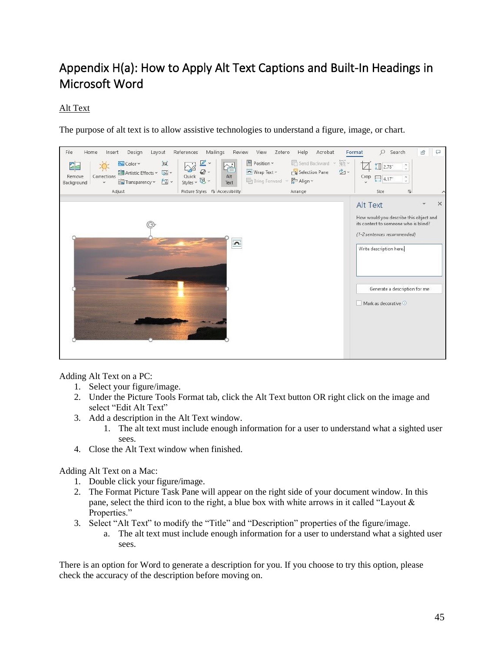# <span id="page-47-0"></span>Appendix H(a): How to Apply Alt Text Captions and Built-In Headings in Microsoft Word

### Alt Text

The purpose of alt text is to allow assistive technologies to understand a figure, image, or chart.



Adding Alt Text on a PC:

- 1. Select your figure/image.
- 2. Under the Picture Tools Format tab, click the Alt Text button OR right click on the image and select "Edit Alt Text"
- 3. Add a description in the Alt Text window.
	- 1. The alt text must include enough information for a user to understand what a sighted user sees.
- 4. Close the Alt Text window when finished.

Adding Alt Text on a Mac:

- 1. Double click your figure/image.
- 2. The Format Picture Task Pane will appear on the right side of your document window. In this pane, select the third icon to the right, a blue box with white arrows in it called "Layout & Properties."
- 3. Select "Alt Text" to modify the "Title" and "Description" properties of the figure/image.
	- a. The alt text must include enough information for a user to understand what a sighted user sees.

There is an option for Word to generate a description for you. If you choose to try this option, please check the accuracy of the description before moving on.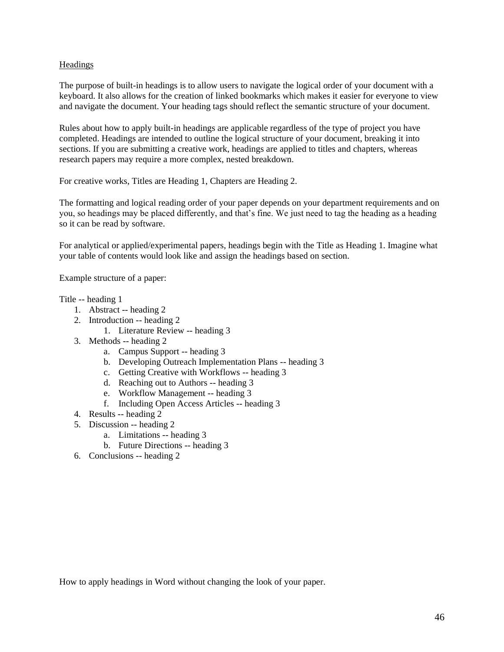#### Headings

The purpose of built-in headings is to allow users to navigate the logical order of your document with a keyboard. It also allows for the creation of linked bookmarks which makes it easier for everyone to view and navigate the document. Your heading tags should reflect the semantic structure of your document.

Rules about how to apply built-in headings are applicable regardless of the type of project you have completed. Headings are intended to outline the logical structure of your document, breaking it into sections. If you are submitting a creative work, headings are applied to titles and chapters, whereas research papers may require a more complex, nested breakdown.

For creative works, Titles are Heading 1, Chapters are Heading 2.

The formatting and logical reading order of your paper depends on your department requirements and on you, so headings may be placed differently, and that's fine. We just need to tag the heading as a heading so it can be read by software.

For analytical or applied/experimental papers, headings begin with the Title as Heading 1. Imagine what your table of contents would look like and assign the headings based on section.

Example structure of a paper:

Title -- heading 1

- 1. Abstract -- heading 2
- 2. Introduction -- heading 2
	- 1. Literature Review -- heading 3
- 3. Methods -- heading 2
	- a. Campus Support -- heading 3
	- b. Developing Outreach Implementation Plans -- heading 3
	- c. Getting Creative with Workflows -- heading 3
	- d. Reaching out to Authors -- heading 3
	- e. Workflow Management -- heading 3
	- f. Including Open Access Articles -- heading 3
- 4. Results -- heading 2
- 5. Discussion -- heading 2
	- a. Limitations -- heading 3
	- b. Future Directions -- heading 3
- 6. Conclusions -- heading 2

How to apply headings in Word without changing the look of your paper.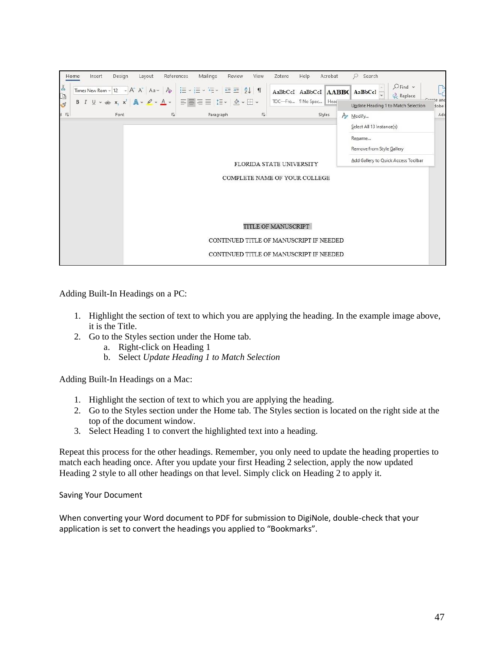

Adding Built-In Headings on a PC:

- 1. Highlight the section of text to which you are applying the heading. In the example image above, it is the Title.
- 2. Go to the Styles section under the Home tab.
	- a. Right-click on Heading 1
	- b. Select *Update Heading 1 to Match Selection*

Adding Built-In Headings on a Mac:

- 1. Highlight the section of text to which you are applying the heading.
- 2. Go to the Styles section under the Home tab. The Styles section is located on the right side at the top of the document window.
- 3. Select Heading 1 to convert the highlighted text into a heading.

Repeat this process for the other headings. Remember, you only need to update the heading properties to match each heading once. After you update your first Heading 2 selection, apply the now updated Heading 2 style to all other headings on that level. Simply click on Heading 2 to apply it.

Saving Your Document

When converting your Word document to PDF for submission to DigiNole, double-check that your application is set to convert the headings you applied to "Bookmarks".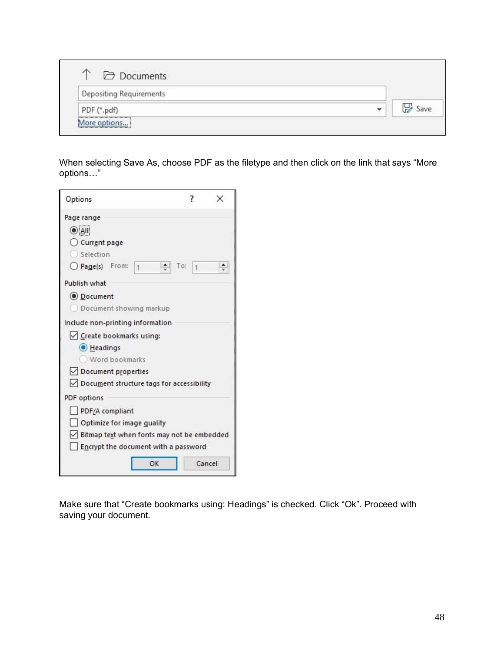| <b>Depositing Requirements</b> |      |
|--------------------------------|------|
| PDF (*.pdf)                    | Save |

When selecting Save As, choose PDF as the filetype and then click on the link that says "More options…"

| Options                                          |                  |        |
|--------------------------------------------------|------------------|--------|
| Page range                                       |                  |        |
| $\odot$ aii                                      |                  |        |
| Current page                                     |                  |        |
| Selection                                        |                  |        |
| Page(s) From:<br>$\vert$                         | To:<br>$\vert$ 1 |        |
| Publish what                                     |                  |        |
| <b>O</b> Document                                |                  |        |
| Document showing markup                          |                  |        |
| Include non-printing information                 |                  |        |
| Create bookmarks using:                          |                  |        |
| Headings                                         |                  |        |
| Word bookmarks                                   |                  |        |
| $\vee$ Document properties                       |                  |        |
| $\vee$ Document structure tags for accessibility |                  |        |
| PDF options                                      |                  |        |
| PDF/A compliant                                  |                  |        |
| Optimize for image guality                       |                  |        |
| Bitmap text when fonts may not be embedded       |                  |        |
| Encrypt the document with a password             |                  |        |
| OK                                               |                  | Cancel |

Make sure that "Create bookmarks using: Headings" is checked. Click "Ok". Proceed with saving your document.